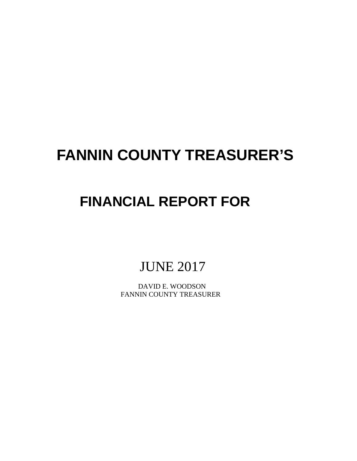# **FANNIN COUNTY TREASURER'S**

# **FINANCIAL REPORT FOR**

JUNE 2017

 DAVID E. WOODSON FANNIN COUNTY TREASURER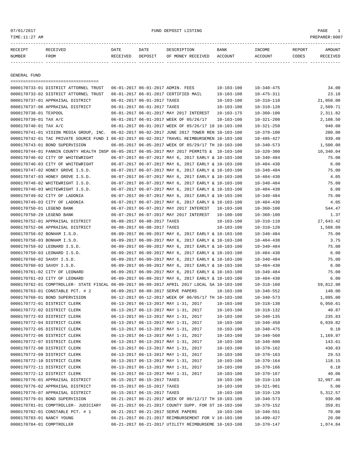# 07/01/2017 FUND DEPOSIT LISTING PAGE 1

| <b>RECETPT</b> |      | DATE                 | DATE    | 11111                          | <b>BANK</b>    | <b>INCOMF</b> | REPORT | AMOUN' |
|----------------|------|----------------------|---------|--------------------------------|----------------|---------------|--------|--------|
| <b>NUMBER</b>  | FROM | <b>EIVED</b><br>ים ס | DEPOSIT | RECEIVED<br><b>MONEY</b><br>ΟF | <b>ACCOUNT</b> | CCOIN'        | CODES  |        |

------------- ------------------------- ---------- ---------- ------------------- -------------- -------------- ------ ------------

GENERAL FUND

|                             | ====================================                                                         |                             |                                                      |                  |                  |           |
|-----------------------------|----------------------------------------------------------------------------------------------|-----------------------------|------------------------------------------------------|------------------|------------------|-----------|
|                             | 0000170733-01 DISTRICT ATTORNEL TRUST                                                        |                             | 06-01-2017 06-01-2017 ADMIN. FEES                    | $10 - 103 - 100$ | $10 - 340 - 475$ | 34.00     |
|                             | 0000170733-02 DISTRICT ATTORNEL TRUST                                                        |                             | 06-01-2017 06-01-2017 CERTIFIED MAIL                 | $10 - 103 - 100$ | $10 - 475 - 311$ | 23.18     |
|                             | 0000170737-01 APPRAISAL DISTRICT                                                             | 06-01-2017 06-01-2017 TAXES |                                                      | $10 - 103 - 100$ | $10 - 310 - 110$ | 21,050.00 |
|                             | 0000170737-06 APPRAISAL DISTRICT                                                             | 06-01-2017 06-01-2017 TAXES |                                                      | $10 - 103 - 100$ | $10 - 310 - 120$ | 2,509.71  |
| 0000170738-01 TEXPOOL       |                                                                                              |                             | 06-01-2017 06-01-2017 MAY 2017 INTEREST              | 10-103-175       | $10 - 360 - 100$ | 2,311.82  |
| 0000170739-01 TAX A/C       |                                                                                              |                             | 06-01-2017 06-01-2017 WEEK OF 05/26/17               | $10 - 103 - 100$ | $10 - 321 - 200$ | 2,108.50  |
| 0000170740-01 TAX A/C       |                                                                                              |                             | 06-01-2017 06-01-2017 WEEK OF 05/26/17 18 10-103-100 |                  | $10 - 321 - 250$ | 940.00    |
|                             | 0000170741-01 VISION MEDIA GROUP, INC. 06-02-2017 06-02-2017 JUNE 2017 TOWER REN 10-103-100  |                             |                                                      |                  | $10 - 370 - 100$ | 200.00    |
|                             | 0000170742-01 TAC PRIVATE SOURCE FUND I 06-02-2017 06-02-2017 TRAVEL REIMBURSEMEN 10-103-100 |                             |                                                      |                  | 10-495-427       | 939.40    |
|                             | 0000170743-01 BOND SUPERVISION                                                               |                             | 06-05-2017 06-05-2017 WEEK OF 05/29/17 TH 10-103-100 |                  | $10 - 340 - 573$ | 1,500.00  |
|                             | 0000170744-01 FANNIN COUNTY HEALTH INSP 06-05-2017 06-05-2017 MAY 2017 PERMITS & 10-103-100  |                             |                                                      |                  | $10 - 320 - 300$ | 10,340.04 |
|                             | 0000170746-02 CITY OF WHITEWRIGHT                                                            |                             | 06-07-2017 06-07-2017 MAY 6, 2017 EARLY & 10-103-100 |                  | $10 - 340 - 484$ | 75.00     |
|                             | 0000170746-03 CITY OF WHITEWRIGHT                                                            |                             | 06-07-2017 06-07-2017 MAY 6, 2017 EARLY & 10-103-100 |                  | $10 - 404 - 430$ | 6.00      |
|                             | 0000170747-02 HONEY GROVE I.S.D.                                                             |                             | 06-07-2017 06-07-2017 MAY 6, 2017 EARLY & 10-103-100 |                  | $10 - 340 - 484$ | 75.00     |
|                             | 0000170747-03 HONEY GROVE I.S.D.                                                             |                             | 06-07-2017 06-07-2017 MAY 6, 2017 EARLY & 10-103-100 |                  | $10 - 404 - 430$ | 4.05      |
|                             | 0000170748-02 WHITEWRIGHT I.S.D.                                                             |                             | 06-07-2017 06-07-2017 MAY 6, 2017 EARLY & 10-103-100 |                  | $10 - 340 - 484$ | 75.00     |
|                             | 0000170748-03 WHITEWRIGHT I.S.D.                                                             |                             | 06-07-2017 06-07-2017 MAY 6, 2017 EARLY & 10-103-100 |                  | $10 - 404 - 430$ | 6.00      |
|                             | 0000170749-02 CITY OF LADONIA                                                                |                             | 06-07-2017 06-07-2017 MAY 6, 2017 EARLY & 10-103-100 |                  | $10 - 340 - 484$ | 75.00     |
|                             | 0000170749-03 CITY OF LADONIA                                                                |                             | 06-07-2017 06-07-2017 MAY 6, 2017 EARLY & 10-103-100 |                  | $10 - 404 - 430$ | 4.05      |
| 0000170750-01 LEGEND BANK   |                                                                                              |                             | 06-07-2017 06-07-2017 MAY 2017 INTEREST              | 10-103-100       | $10 - 360 - 100$ | 544.47    |
| 0000170750-29 LEGEND BANK   |                                                                                              |                             | 06-07-2017 06-07-2017 MAY 2017 INTEREST              | 10-100-100       | $10 - 360 - 100$ | 1.37      |
|                             | 0000170752-01 APPRAISAL DISTRICT                                                             | 06-08-2017 06-08-2017 TAXES |                                                      | $10 - 103 - 100$ | $10 - 310 - 110$ | 27,643.42 |
|                             | 0000170752-06 APPRAISAL DISTRICT                                                             | 06-08-2017 06-08-2017 TAXES |                                                      | $10 - 103 - 100$ | $10 - 310 - 120$ | 1,588.09  |
| 0000170758-02 BONHAM I.S.D. |                                                                                              |                             | 06-09-2017 06-09-2017 MAY 6, 2017 EARLY & 10-103-100 |                  | $10 - 340 - 484$ | 75.00     |
| 0000170758-03 BONHAM I.S.D. |                                                                                              |                             | 06-09-2017 06-09-2017 MAY 6, 2017 EARLY & 10-103-100 |                  | $10 - 404 - 430$ | 3.75      |
|                             | 0000170759-02 LEONARD I.S.D.                                                                 |                             | 06-09-2017 06-09-2017 MAY 6, 2017 EARLY & 10-103-100 |                  | $10 - 340 - 484$ | 75.00     |
|                             | 0000170759-03 LEONARD I.S.D.                                                                 |                             | 06-09-2017 06-09-2017 MAY 6, 2017 EARLY & 10-103-100 |                  | $10 - 404 - 430$ | 6.00      |
| 0000170760-02 SAVOY I.S.D.  |                                                                                              |                             | 06-09-2017 06-09-2017 MAY 6, 2017 EARLY & 10-103-100 |                  | $10 - 340 - 484$ | 75.00     |
| 0000170760-03 SAVOY I.S.D.  |                                                                                              |                             | 06-09-2017 06-09-2017 MAY 6, 2017 EARLY & 10-103-100 |                  | $10 - 404 - 430$ | 6.00      |
|                             | 0000170761-02 CITY OF LEONARD                                                                |                             | 06-09-2017 06-09-2017 MAY 6, 2017 EARLY & 10-103-100 |                  | $10 - 340 - 484$ | 75.00     |
|                             | 0000170761-03 CITY OF LEONARD                                                                |                             | 06-09-2017 06-09-2017 MAY 6, 2017 EARLY & 10-103-100 |                  | $10 - 404 - 430$ | 6.00      |
|                             | 0000170762-01 COMPTROLLER- STATE FISCAL 06-09-2017 06-09-2017 APRIL 2017 LOCAL SA 10-103-100 |                             |                                                      |                  | $10 - 318 - 160$ | 59,812.98 |
|                             | 0000170763-01 CONSTABLE PCT. # 2                                                             |                             | 06-09-2017 06-09-2017 SERVE PAPERS                   | $10 - 103 - 100$ | $10 - 340 - 552$ | 140.00    |
|                             | 0000170768-01 BOND SUPERVISION                                                               |                             | 06-12-2017 06-12-2017 WEEK OF 06/05/17 TH 10-103-100 |                  | $10 - 340 - 573$ | 1,095.00  |
|                             | 0000170772-01 DISTRICT CLERK                                                                 |                             | 06-13-2017 06-13-2017 MAY 1-31, 2017                 | $10 - 103 - 100$ | $10 - 318 - 130$ | 6,950.61  |
|                             | 0000170772-02 DISTRICT CLERK                                                                 |                             | 06-13-2017 06-13-2017 MAY 1-31, 2017                 | $10 - 103 - 100$ | $10 - 318 - 132$ | 40.87     |
|                             | 0000170772-03 DISTRICT CLERK                                                                 |                             | 06-13-2017 06-13-2017 MAY 1-31, 2017                 | $10 - 103 - 100$ | $10 - 340 - 135$ | 235.83    |
|                             | 0000170772-04 DISTRICT CLERK                                                                 |                             | 06-13-2017 06-13-2017 MAY 1-31, 2017                 | $10 - 103 - 100$ | $10 - 340 - 450$ | 6,039.82  |
|                             | 0000170772-05 DISTRICT CLERK                                                                 |                             | 06-13-2017 06-13-2017 MAY 1-31, 2017                 | 10-103-100       | $10 - 340 - 475$ | 0.10      |
|                             | 0000170772-06 DISTRICT CLERK                                                                 |                             | 06-13-2017 06-13-2017 MAY 1-31, 2017                 | $10 - 103 - 100$ | $10 - 340 - 560$ | 1,169.97  |
|                             | 0000170772-07 DISTRICT CLERK                                                                 |                             | 06-13-2017 06-13-2017 MAY 1-31, 2017                 | $10 - 103 - 100$ | $10 - 340 - 600$ | 143.61    |
|                             | 0000170772-08 DISTRICT CLERK                                                                 |                             | 06-13-2017 06-13-2017 MAY 1-31, 2017                 | $10 - 103 - 100$ | $10 - 370 - 162$ | 430.83    |
|                             | 0000170772-09 DISTRICT CLERK                                                                 |                             | 06-13-2017 06-13-2017 MAY 1-31, 2017                 | 10-103-100       | $10 - 370 - 163$ | 29.53     |
|                             | 0000170772-10 DISTRICT CLERK                                                                 |                             | 06-13-2017 06-13-2017 MAY 1-31, 2017                 | 10-103-100       | $10 - 370 - 164$ | 118.15    |
|                             | 0000170772-11 DISTRICT CLERK                                                                 |                             | 06-13-2017 06-13-2017 MAY 1-31, 2017                 | $10 - 103 - 100$ | $10 - 370 - 166$ | 6.18      |
|                             | 0000170772-12 DISTRICT CLERK                                                                 |                             | 06-13-2017 06-13-2017 MAY 1-31, 2017                 | $10 - 103 - 100$ | $10 - 370 - 167$ | 40.06     |
|                             | 0000170776-01 APPRAISAL DISTRICT                                                             | 06-15-2017 06-15-2017 TAXES |                                                      | $10 - 103 - 100$ | $10 - 310 - 110$ | 32,997.46 |
|                             | 0000170776-02 APPRAISAL DISTRICT                                                             | 06-15-2017 06-15-2017 TAXES |                                                      | $10 - 103 - 100$ | $10 - 321 - 901$ | 5.00      |
|                             | 0000170776-07 APPRAISAL DISTRICT                                                             | 06-15-2017 06-15-2017 TAXES |                                                      | $10 - 103 - 100$ | $10 - 310 - 120$ | 5, 312.57 |
|                             | 0000170779-01 BOND SUPERVISION                                                               |                             | 06-21-2017 06-21-2017 WEEK OF 06/12/17 TH 10-103-100 |                  | $10 - 340 - 573$ | 930.00    |
|                             | 0000170781-01 COMPTROLLER- JUDICIARY                                                         |                             | 06-21-2017 06-21-2017 COUNTY SUPP. FOR ST 10-103-100 |                  | $10 - 370 - 152$ | 359.81    |
|                             | 0000170782-01 CONSTABLE PCT. # 1                                                             |                             | 06-21-2017 06-21-2017 SERVE PAPERS                   | $10 - 103 - 100$ | $10 - 340 - 551$ | 70.00     |
|                             |                                                                                              |                             |                                                      |                  |                  |           |
| 0000170783-01 NANCY YOUNG   |                                                                                              |                             | 06-21-2017 06-21-2017 REIMBURSEMENT FOR V 10-103-100 |                  | 10-499-427       | 20.00     |
| 0000170784-01 COMPTROLLER   |                                                                                              |                             | 06-21-2017 06-21-2017 UTILITY REIMBURSEME 10-103-100 |                  | $10 - 370 - 147$ | 1,074.84  |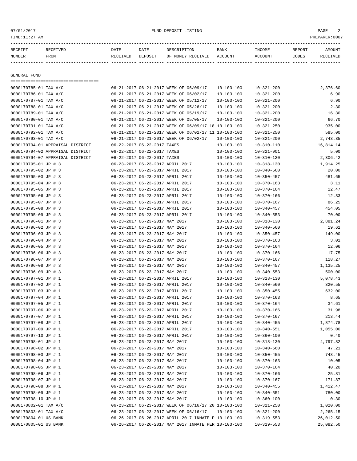07/01/2017 FUND DEPOSIT LISTING PAGE 2

| RECEIPT | RECEIVED | DATE     | DATE    | DESCRIPTION               | BANK | INCOME  | REPORT | <b>AMOUNT</b> |
|---------|----------|----------|---------|---------------------------|------|---------|--------|---------------|
| NUMBER  | FROM     | RECEIVED | DEPOSIT | OF MONEY RECEIVED ACCOUNT |      | ACCOUNT | CODES  | RECEIVED      |
|         |          |          |         |                           |      |         |        |               |
|         |          |          |         |                           |      |         |        |               |

GENERAL FUND

=================================== 0000170785-01 TAX A/C 06-21-2017 06-21-2017 WEEK OF 06/09/17 10-103-100 10-321-200 2,376.60 0000170786-01 TAX A/C 06-21-2017 06-21-2017 WEEK OF 06/02/17 10-103-100 10-321-200 6.90 0000170787-01 TAX A/C 06-21-2017 06-21-2017 WEEK OF 05/12/17 10-103-100 10-321-200 6.90 0000170788-01 TAX A/C 06-21-2017 06-21-2017 WEEK OF 05/26/17 10-103-100 10-321-200 2.30 0000170789-01 TAX A/C 06-21-2017 06-21-2017 06-21-2017 WEEK OF 05/19/17 10-103-100 10-321-200 16.30 0000170790-01 TAX A/C 06-21-2017 06-21-2017 06-21-2017 WEEK OF 05/05/17 10-103-100 10-321-200 66.70 0000170791-01 TAX A/C 06-21-2017 06-21-2017 WEEK OF 06/09/17 18 10-103-100 10-321-250 935.00 0000170792-01 TAX A/C 06-21-2017 06-21-2017 WEEK OF 06/02/17 11 10-103-100 10-321-250 585.00 0000170793-01 TAX A/C 06-21-2017 06-21-2017 WEEK OF 06/02/17 10-103-100 10-321-200 2,743.35 0000170794-01 APPRAISAL DISTRICT  $06-22-2017$  06-22-2017 TAXES 10-103-100 10-310-110 16.814.14 0000170794-02 APPRAISAL DISTRICT 06-22-2017 06-22-2017 TAXES 10-103-100 10-321-901 5.00 0000170794-07 APPRAISAL DISTRICT 06-22-2017 06-22-2017 TAXES 10-103-100 10-310-120 2,306.42 0000170795-01 JP # 3 06-23-2017 06-23-2017 APRIL 2017 10-103-100 10-318-130 1,914.25 0000170795-02 JP # 3 06-23-2017 06-23-2017 APRIL 2017 10-103-100 10-340-560 20.00 0000170795-03 JP # 3 06-23-2017 06-23-2017 APRIL 2017 10-103-100 10-350-457 481.65 0000170795-04 JP # 3 06-23-2017 06-23-2017 APRIL 2017 10-103-100 10-370-163 3.11 0000170795-05 JP # 3 06-23-2017 06-23-2017 APRIL 2017 10-103-100 10-370-164 12.47 0000170795-06 JP # 3 06-23-2017 06-23-2017 APRIL 2017 10-103-100 10-370-166 12.33 0000170795-07 JP # 3 06-23-2017 06-23-2017 APRIL 2017 10-103-100 10-370-167 86.25 0000170795-08 JP # 3 06-23-2017 06-23-2017 APRIL 2017 10-103-100 10-340-457 454.05 0000170795-09 JP # 3 06-23-2017 06-23-2017 APRIL 2017 10-103-100 10-340-553 70.00 0000170796-01 JP # 3 06-23-2017 06-23-2017 MAY 2017 10-103-100 10-318-130 2,881.24 0000170796-02 JP # 3 06-23-2017 06-23-2017 MAY 2017 10-103-100 10-340-560 19.62 0000170796-03 JP # 3 06-23-2017 06-23-2017 MAY 2017 10-103-100 10-350-457 149.00 0000170796-04 JP # 3 06-23-2017 06-23-2017 MAY 2017 10-103-100 10-370-163 3.01 0000170796-05 JP # 3 06-23-2017 06-23-2017 MAY 2017 10-103-100 10-370-164 12.06 0000170796-06 JP # 3 06-23-2017 06-23-2017 MAY 2017 10-103-100 10-370-166 17.75 0000170796-07 JP # 3 06-23-2017 06-23-2017 MAY 2017 10-103-100 10-370-167 118.27 0000170796-08 JP # 3 06-23-2017 06-23-2017 MAY 2017 10-103-100 10-340-457 1,135.25 0000170796-09 JP # 3 06-23-2017 06-23-2017 MAY 2017 10-103-100 10-340-553 500.00 0000170797-01 JP # 1 06-23-2017 06-23-2017 APRIL 2017 10-103-100 10-318-130 5,078.43 0000170797-02 JP # 1 06-23-2017 06-23-2017 APRIL 2017 10-103-100 10-340-560 320.55 0000170797-03 JP # 1 06-23-2017 06-23-2017 APRIL 2017 10-103-100 10-350-455 632.00 0000170797-04 JP # 1 06-23-2017 06-23-2017 APRIL 2017 10-103-100 10-370-163 8.65 0000170797-05 JP # 1 06-23-2017 06-23-2017 APRIL 2017 10-103-100 10-370-164 34.61 0000170797-06 JP # 1 06-23-2017 06-23-2017 APRIL 2017 10-103-100 10-370-166 31.98 0000170797-07 JP # 1 06-23-2017 06-23-2017 APRIL 2017 10-103-100 10-370-167 213.44 0000170797-08 JP # 1 06-23-2017 06-23-2017 APRIL 2017 10-103-100 10-340-455 1,874.78 0000170797-09 JP # 1 06-23-2017 06-23-2017 APRIL 2017 10-103-100 10-340-551 1,055.00 0000170797-10 JP # 1 06-23-2017 06-23-2017 APRIL 2017 10-103-100 10-360-100 0.40 0000170798-01 JP # 1 06-23-2017 06-23-2017 MAY 2017 10-103-100 10-318-130 4.797.82 0000170798-02 JP # 1 06-23-2017 06-23-2017 MAY 2017 10-103-100 10-340-560 47.21 0000170798-03 JP # 1 06-23-2017 06-23-2017 MAY 2017 10-103-100 10-350-455 748.45 0000170798-04 JP # 1 06-23-2017 06-23-2017 MAY 2017 10-103-100 10-370-163 10.05 0000170798-05 JP # 1 06-23-2017 06-23-2017 MAY 2017 10-103-100 10-370-164 40.20 0000170798-06 JP # 1 06-23-2017 06-23-2017 MAY 2017 10-103-100 10-370-166 25.81 0000170798-07 JP # 1 06-23-2017 06-23-2017 MAY 2017 10-103-100 10-370-167 171.87 0000170798-08 JP # 1 06-23-2017 06-23-2017 MAY 2017 10-103-100 10-340-455 1,412.47 0000170798-09 JP # 1 06-23-2017 06-23-2017 MAY 2017 10-103-100 10-340-551 780.00 0000170798-10 JP # 1 06-23-2017 06-23-2017 MAY 2017 10-103-100 10-360-100 10-360-100 0.30 0000170802-01 TAX A/C 06-23-2017 06-23-2017 WEEK OF 06/16/17 20 10-103-100 10-321-250 1,020.00 0000170803-01 TAX A/C 06-23-2017 06-23-2017 WEEK OF 06/16/17 10-103-100 10-321-200 2,265.15 0000170804-01 US BANK 06-26-2017 06-26-2017 APRIL 2017 INMATE P 10-103-100 10-319-553 26,012.50 0000170805-01 US BANK 06-26-2017 06-26-2017 MAY 2017 INMATE PER 10-103-100 10-319-553 25,082.50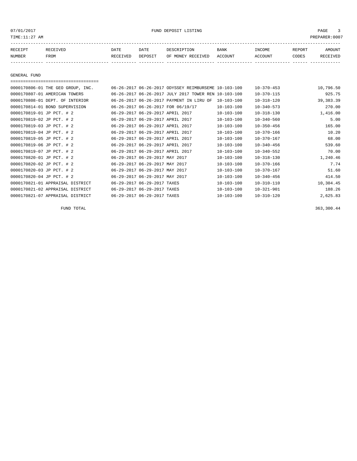# 07/01/2017 FUND DEPOSIT LISTING PAGE 3

| RECEIPT | <b>RECEIVED</b> | DATE     | DATE    | DESCRIPTION       | <b>BANK</b> | <b>INCOME</b> | REPORT | AMOUNT     |
|---------|-----------------|----------|---------|-------------------|-------------|---------------|--------|------------|
| NUMBER  | FROM            | RECEIVED | DEPOSIT | OF MONEY RECEIVED | ACCOUNT     | ACCOUNT       | CODES  | זת 1777 תי |
|         |                 |          |         |                   |             |               |        |            |

GENERAL FUND

| ====================================      |                                  |                                                      |                  |                  |             |
|-------------------------------------------|----------------------------------|------------------------------------------------------|------------------|------------------|-------------|
| 0000170806-01 THE GEO GROUP, INC.         |                                  | 06-26-2017 06-26-2017 ODYSSEY REIMBURSEME 10-103-100 |                  | $10 - 370 - 453$ | 10,796.50   |
| 0000170807-01 AMERICAN TOWERS             |                                  | 06-26-2017 06-26-2017 JULY 2017 TOWER REN 10-103-100 |                  | $10 - 370 - 115$ | 925.75      |
| 0000170808-01 DEPT. OF<br><b>INTERIOR</b> |                                  | 06-26-2017 06-26-2017 PAYMENT IN LIRU OF             | $10 - 103 - 100$ | $10 - 318 - 120$ | 39, 383. 39 |
| 0000170814-01 BOND SUPERVISION            |                                  | 06-26-2017 06-26-2017 FOR 06/19/17                   | $10 - 103 - 100$ | $10 - 340 - 573$ | 270.00      |
| 0000170819-01 JP PCT. # 2                 | 06-29-2017 06-29-2017 APRIL 2017 |                                                      | $10 - 103 - 100$ | $10 - 318 - 130$ | 1,416.00    |
| 0000170819-02 JP PCT. # 2                 | 06-29-2017 06-29-2017 APRIL 2017 |                                                      | $10 - 103 - 100$ | $10 - 340 - 560$ | 5.00        |
| 0000170819-03 JP PCT. # 2                 | 06-29-2017 06-29-2017 APRIL 2017 |                                                      | $10 - 103 - 100$ | $10 - 350 - 456$ | 165.00      |
| 0000170819-04 JP PCT. # 2                 | 06-29-2017 06-29-2017 APRIL 2017 |                                                      | $10 - 103 - 100$ | $10 - 370 - 166$ | 10.20       |
| 0000170819-05 JP PCT. # 2                 | 06-29-2017 06-29-2017 APRIL 2017 |                                                      | $10 - 103 - 100$ | $10 - 370 - 167$ | 68.00       |
| 0000170819-06 JP PCT. # 2                 | 06-29-2017 06-29-2017 APRIL 2017 |                                                      | $10 - 103 - 100$ | $10 - 340 - 456$ | 539.60      |
| 0000170819-07 JP PCT. # 2                 | 06-29-2017 06-29-2017 APRIL 2017 |                                                      | $10 - 103 - 100$ | $10 - 340 - 552$ | 70.00       |
| 0000170820-01 JP PCT. # 2                 | 06-29-2017 06-29-2017 MAY 2017   |                                                      | $10 - 103 - 100$ | $10 - 318 - 130$ | 1,240.46    |
| 0000170820-02 JP PCT. # 2                 | 06-29-2017 06-29-2017 MAY 2017   |                                                      | $10 - 103 - 100$ | $10 - 370 - 166$ | 7.74        |
| 0000170820-03 JP PCT. # 2                 | 06-29-2017 06-29-2017 MAY 2017   |                                                      | $10 - 103 - 100$ | $10 - 370 - 167$ | 51.60       |
| 0000170820-04 JP PCT. # 2                 | 06-29-2017 06-29-2017 MAY 2017   |                                                      | $10 - 103 - 100$ | $10 - 340 - 456$ | 414.50      |
| 0000170821-01 APPRAISAL DISTRICT          | 06-29-2017 06-29-2017 TAXES      |                                                      | $10 - 103 - 100$ | $10 - 310 - 110$ | 10,304.45   |
| 0000170821-02 APPRAISAL DISTRICT          | 06-29-2017 06-29-2017            | TAXES                                                | $10 - 103 - 100$ | $10 - 321 - 901$ | 188.26      |
| 0000170821-07 APPRAISAL DISTRICT          | 06-29-2017 06-29-2017 TAXES      |                                                      | $10 - 103 - 100$ | $10 - 310 - 120$ | 2,625.83    |

FUND TOTAL 363,300.44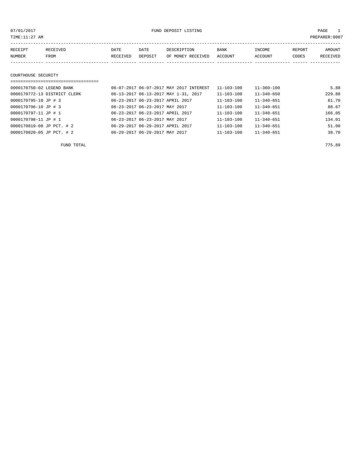07/01/2017 FUND DEPOSIT LISTING PAGE 1

| RECEIPT | RECEIVED | <b>DATE</b> | <b>DATE</b> | DESCRIPTION       | <b>BANK</b> | INCOME  | REPORT | <b>AMOUNT</b>   |
|---------|----------|-------------|-------------|-------------------|-------------|---------|--------|-----------------|
| NUMBER  | FROM     | RECEIVED    | DEPOSIT     | OF MONEY RECEIVED | ACCOUNT     | ACCOUNT | CODES  | <b>RECEIVED</b> |
|         |          |             |             |                   |             |         |        |                 |
|         |          |             |             |                   |             |         |        |                 |

# COURTHOUSE SECURITY

| ================================ |                                         |                  |                  |        |
|----------------------------------|-----------------------------------------|------------------|------------------|--------|
| 0000170750-02 LEGEND BANK        | 06-07-2017 06-07-2017 MAY 2017 INTEREST | $11 - 103 - 100$ | $11 - 360 - 100$ | 5.88   |
| 0000170772-13 DISTRICT CLERK     | 06-13-2017 06-13-2017 MAY 1-31, 2017    | 11-103-100       | $11 - 340 - 650$ | 229.88 |
| 0000170795-10 JP # 3             | 06-23-2017 06-23-2017 APRIL 2017        | 11-103-100       | $11 - 340 - 651$ | 61.70  |
| 0000170796-10 JP # 3             | 06-23-2017 06-23-2017 MAY 2017          | $11 - 103 - 100$ | $11 - 340 - 651$ | 88.67  |
| 0000170797-11 JP # 1             | 06-23-2017 06-23-2017 APRIL 2017        | $11 - 103 - 100$ | $11 - 340 - 651$ | 166.05 |
| 0000170798-11 JP # 1             | 06-23-2017 06-23-2017 MAY 2017          | $11 - 103 - 100$ | $11 - 340 - 651$ | 134.01 |
| 0000170819-08 JP PCT. # 2        | 06-29-2017 06-29-2017 APRIL 2017        | $11 - 103 - 100$ | $11 - 340 - 651$ | 51.00  |
| 0000170820-05 JP PCT. # 2        | 06-29-2017 06-29-2017 MAY 2017          | $11 - 103 - 100$ | $11 - 340 - 651$ | 38.70  |

FUND TOTAL 775.89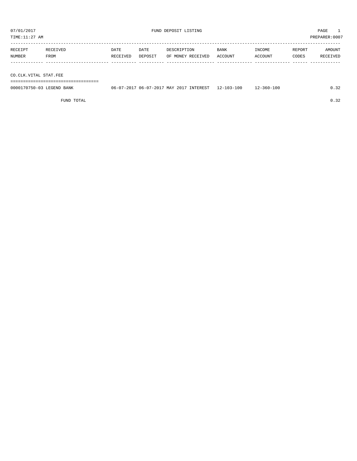TIME:11:27 AM PREPARER:0007 ----------------------------------------------------------------------------------------------------------------------------------- RECEIPT RECEIVED DATE DATE DESCRIPTION BANK INCOME REPORT AMOUNT NUMBER FROM RECEIVED DEPOSIT OF MONEY RECEIVED ACCOUNT ACCOUNT CODES RECEIVED

------------- ------------------------- ---------- ---------- ------------------- -------------- -------------- ------ ------------ CO.CLK.VITAL STAT.FEE =================================== 0000170750-03 LEGEND BANK 06-07-2017 06-07-2017 MAY 2017 INTEREST 12-103-100 12-360-100 0.32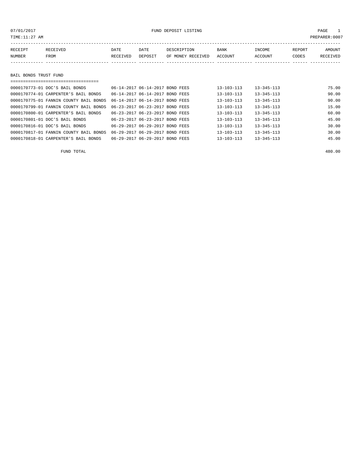# 07/01/2017 FUND DEPOSIT LISTING PAGE 1

| RECEIPT               | RECEIVED | <b>DATE</b> | DATE    | DESCRIPTION       | <b>BANK</b> | INCOME  | REPORT | AMOUNT   |
|-----------------------|----------|-------------|---------|-------------------|-------------|---------|--------|----------|
| NUMBER                | FROM     | RECEIVED    | DEPOSIT | OF MONEY RECEIVED | ACCOUNT     | ACCOUNT | CODES  | RECEIVED |
|                       |          |             |         |                   |             |         |        |          |
|                       |          |             |         |                   |             |         |        |          |
| BAIL BONDS TRUST FUND |          |             |         |                   |             |         |        |          |
|                       |          |             |         |                   |             |         |        |          |

| 0000170773-01 DOC'S BAIL BONDS         | 06-14-2017 06-14-2017 BOND FEES    | $13 - 103 - 113$ | $13 - 345 - 113$ | 75.00 |
|----------------------------------------|------------------------------------|------------------|------------------|-------|
| 0000170774-01 CARPENTER'S BAIL BONDS   | 06-14-2017 06-14-2017 BOND FEES    | $13 - 103 - 113$ | $13 - 345 - 113$ | 90.00 |
| 0000170775-01 FANNIN COUNTY BAIL BONDS | 06-14-2017 06-14-2017 BOND FEES    | $13 - 103 - 113$ | $13 - 345 - 113$ | 90.00 |
| 0000170799-01 FANNIN COUNTY BAIL BONDS | 06-23-2017 06-23-2017 BOND FEES    | $13 - 103 - 113$ | $13 - 345 - 113$ | 15.00 |
| 0000170800-01 CARPENTER'S BAIL BONDS   | 06-23-2017 06-23-2017 BOND FEES    | $13 - 103 - 113$ | $13 - 345 - 113$ | 60.00 |
| 0000170801-01 DOC'S BAIL BONDS         | 06-23-2017 06-23-2017 BOND FEES    | $13 - 103 - 113$ | $13 - 345 - 113$ | 45.00 |
| 0000170816-01 DOC'S BAIL BONDS         | 06-29-2017 06-29-2017 BOND FEES    | $13 - 103 - 113$ | $13 - 345 - 113$ | 30.00 |
| 0000170817-01 FANNIN COUNTY BAIL BONDS | 06-29-2017 06-29-2017 BOND FEES    | $13 - 103 - 113$ | $13 - 345 - 113$ | 30.00 |
| 0000170818-01 CARPENTER'S BAIL BONDS   | 06-29-2017 06-29-2017<br>BOND FEES | $13 - 103 - 113$ | $13 - 345 - 113$ | 45.00 |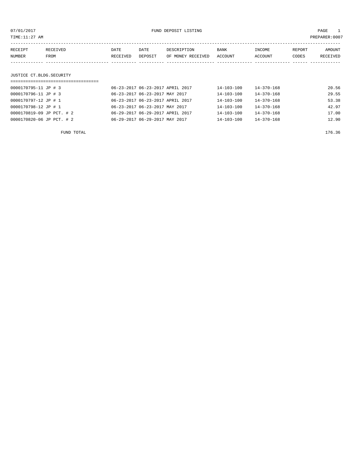| 07/01/2017<br>TIME:11:27 AM |          |          |                                  | FUND DEPOSIT LISTING |                  |                  |        | PAGE<br>PREPARER:0007 |
|-----------------------------|----------|----------|----------------------------------|----------------------|------------------|------------------|--------|-----------------------|
| RECEIPT                     | RECEIVED | DATE     | DATE                             | DESCRIPTION          | BANK             | INCOME           | REPORT | AMOUNT                |
| NUMBER                      | FROM     | RECEIVED | DEPOSIT                          | OF MONEY RECEIVED    | ACCOUNT          | ACCOUNT          | CODES  | RECEIVED              |
|                             |          |          |                                  |                      |                  |                  |        |                       |
| JUSTICE CT.BLDG.SECURITY    |          |          |                                  |                      |                  |                  |        |                       |
|                             |          |          |                                  |                      |                  |                  |        |                       |
| 0000170795-11 JP # 3        |          |          | 06-23-2017 06-23-2017 APRIL 2017 |                      | $14 - 103 - 100$ | $14 - 370 - 168$ |        | 20.56                 |
| 0000170796-11 JP # 3        |          |          | 06-23-2017 06-23-2017 MAY 2017   |                      | $14 - 103 - 100$ | $14 - 370 - 168$ |        | 29.55                 |
| 0000170797-12 JP # 1        |          |          | 06-23-2017 06-23-2017 APRIL 2017 |                      | 14-103-100       | 14-370-168       |        | 53.38                 |
| 0000170798-12 JP # 1        |          |          | 06-23-2017 06-23-2017 MAY 2017   |                      | $14 - 103 - 100$ | $14 - 370 - 168$ |        | 42.97                 |

0000170819-09 JP PCT. # 2 06-29-2017 06-29-2017 APRIL 2017 14-103-100 14-370-168 17.00 0000170820-06 JP PCT. # 2 06-29-2017 06-29-2017 MAY 2017 14-103-100 14-370-168 12.90

FUND TOTAL 176.36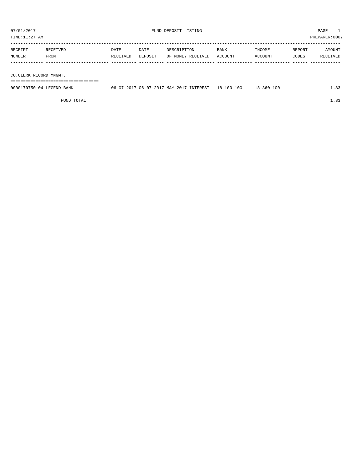| RECEIPT | RECEIVED | DATE     | DATE    | DESCRIPTION       | BANK    | INCOME  | REPORT | AMOUNT   |
|---------|----------|----------|---------|-------------------|---------|---------|--------|----------|
| NUMBER  | FROM     | RECEIVED | DEPOSIT | OF MONEY RECEIVED | ACCOUNT | ACCOUNT | CODES  | RECEIVED |
|         |          |          |         |                   |         |         |        |          |
|         |          |          |         |                   |         |         |        |          |

CO.CLERK RECORD MNGMT.

===================================

| 0000170750-04 LEGEND BANK | 06-<br>$07 - 20$ . | 7 MAY 2017<br>$06 - 07 - 201'$ | INTEREST | $18 - 103 - 100$ | 100<br>$.8 - 360 - 7$ |  |
|---------------------------|--------------------|--------------------------------|----------|------------------|-----------------------|--|
|                           |                    |                                |          |                  |                       |  |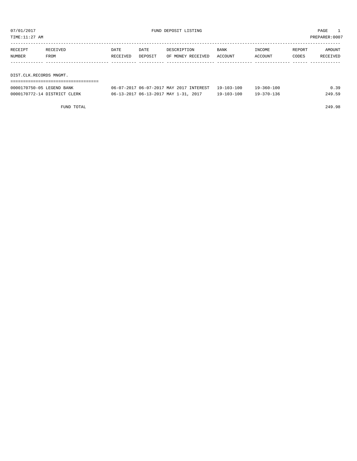TIME:11:27 AM PREPARER:0007

| RECEIPT                 | RECEIVED | DATE     | DATE    | DESCRIPTION       | <b>BANK</b> | INCOME  | REPORT | AMOUNT   |
|-------------------------|----------|----------|---------|-------------------|-------------|---------|--------|----------|
| NUMBER                  | FROM     | RECEIVED | DEPOSIT | OF MONEY RECEIVED | ACCOUNT     | ACCOUNT | CODES  | RECEIVED |
|                         |          |          |         |                   |             |         |        |          |
|                         |          |          |         |                   |             |         |        |          |
| DIST.CLK.RECORDS MNGMT. |          |          |         |                   |             |         |        |          |

| -------------------<br>--------------------------- |                                                    |                  |                  |        |
|----------------------------------------------------|----------------------------------------------------|------------------|------------------|--------|
| 0000170750-05 LEGEND BANK                          | 06-07-2017 06-07-2017 MAY 2017 INTEREST 19-103-100 |                  | $19 - 360 - 100$ | 0.39   |
| 0000170772-14 DISTRICT CLERK                       | 06-13-2017 06-13-2017 MAY 1-31, 2017               | $19 - 103 - 100$ | 19-370-136       | 249.59 |

FUND TOTAL 249.98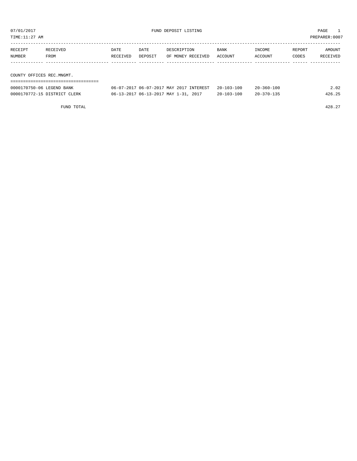| TIME:11:27 AM<br>PREPARER: 0007 |          |          |         |                   |                  |            |        |               |  |  |
|---------------------------------|----------|----------|---------|-------------------|------------------|------------|--------|---------------|--|--|
| RECEIPT                         | RECEIVED | DATE     | DATE    | DESCRIPTION       | BANK             | INCOME     | REPORT | AMOUNT        |  |  |
| NUMBER                          | FROM     | RECEIVED | DEPOSIT | OF MONEY RECEIVED | ACCOUNT          | ACCOUNT    | CODES  | RECEIVED      |  |  |
|                                 |          |          |         |                   |                  |            |        |               |  |  |
| COUNTY OFFICES REC.MNGMT.       |          |          |         |                   |                  |            |        |               |  |  |
|                                 |          |          |         |                   |                  |            |        |               |  |  |
|                                 |          |          |         |                   | $00 - 100 - 100$ | 0000000000 |        | $\sim$ $\sim$ |  |  |

| 0000170750-06 LEGEND BANK    | 06-07-2017 06-07-2017 MAY 2017 INTEREST | $20 - 103 - 100$ | $20 - 360 - 100$ | $\angle 02$ |
|------------------------------|-----------------------------------------|------------------|------------------|-------------|
| 0000170772-15 DISTRICT CLERK | 06-13-2017 06-13-2017 MAY 1-31, 2017    | $20 - 103 - 100$ | $20 - 370 - 135$ | 426.25      |

FUND TOTAL  $428.27$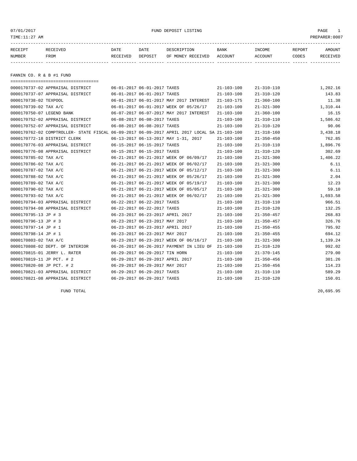| TIME:11:27 AM             |                                                                                              |                             |                             |                                         |                  |                  |        | PREPARER:0007 |
|---------------------------|----------------------------------------------------------------------------------------------|-----------------------------|-----------------------------|-----------------------------------------|------------------|------------------|--------|---------------|
| RECEIPT                   | RECEIVED                                                                                     | DATE                        | DATE                        | DESCRIPTION                             | BANK             | INCOME           | REPORT | AMOUNT        |
| NUMBER                    | FROM                                                                                         | RECEIVED                    | DEPOSIT                     | OF MONEY RECEIVED                       | ACCOUNT          | ACCOUNT          | CODES  | RECEIVED      |
|                           |                                                                                              |                             |                             |                                         |                  |                  |        |               |
|                           |                                                                                              |                             |                             |                                         |                  |                  |        |               |
| FANNIN CO. R & B #1 FUND  |                                                                                              |                             |                             |                                         |                  |                  |        |               |
|                           |                                                                                              |                             |                             |                                         |                  |                  |        |               |
|                           | 0000170737-02 APPRAISAL DISTRICT                                                             | 06-01-2017 06-01-2017 TAXES |                             |                                         | $21 - 103 - 100$ | $21 - 310 - 110$ |        | 1,202.16      |
|                           | 0000170737-07 APPRAISAL DISTRICT                                                             |                             | 06-01-2017 06-01-2017 TAXES |                                         | $21 - 103 - 100$ | $21 - 310 - 120$ |        | 143.83        |
| 0000170738-02 TEXPOOL     |                                                                                              |                             |                             | 06-01-2017 06-01-2017 MAY 2017 INTEREST | 21-103-175       | $21 - 360 - 100$ |        | 11.38         |
| 0000170739-02 TAX A/C     |                                                                                              |                             |                             | 06-01-2017 06-01-2017 WEEK OF 05/26/17  | $21 - 103 - 100$ | $21 - 321 - 300$ |        | 1,310.44      |
| 0000170750-07 LEGEND BANK |                                                                                              |                             |                             | 06-07-2017 06-07-2017 MAY 2017 INTEREST | $21 - 103 - 100$ | $21 - 360 - 100$ |        | 16.15         |
|                           | 0000170752-02 APPRAISAL DISTRICT                                                             |                             | 06-08-2017 06-08-2017 TAXES |                                         | $21 - 103 - 100$ | $21 - 310 - 110$ |        | 1,586.62      |
|                           | 0000170752-07 APPRAISAL DISTRICT                                                             |                             | 06-08-2017 06-08-2017 TAXES |                                         | $21 - 103 - 100$ | $21 - 310 - 120$ |        | 90.06         |
|                           | 0000170762-02 COMPTROLLER- STATE FISCAL 06-09-2017 06-09-2017 APRIL 2017 LOCAL SA 21-103-100 |                             |                             |                                         |                  | $21 - 318 - 160$ |        | 3,438.18      |

0000170772-18 DISTRICT CLERK 06-13-2017 06-13-2017 MAY 1-31, 2017 21-103-100 21-350-450 762.85 0000170776-03 APPRAISAL DISTRICT 06-15-2017 06-15-2017 TAXES 21-103-100 21-310-110 1,896.76 0000170776-08 APPRAISAL DISTRICT 06-15-2017 06-15-2017 TAXES 21-103-100 21-310-120 302.69 0000170785-02 TAX A/C 06-21-2017 06-21-2017 WEEK OF 06/09/17 21-103-100 21-321-300 1,406.22 0000170786-02 TAX A/C 06-21-2017 06-21-2017 WEEK OF 06/02/17 21-103-100 21-321-300 6.11 0000170787-02 TAX A/C 06-21-2017 06-21-2017 WEEK OF 05/12/17 21-103-100 21-321-300 6.11 0000170788-02 TAX A/C 06-21-2017 06-21-2017 WEEK OF 05/26/17 21-103-100 21-321-300 2.04 0000170789-02 TAX A/C 06-21-2017 06-21-2017 WEEK OF 05/19/17 21-103-100 21-321-300 12.23 0000170790-02 TAX A/C 06-21-2017 06-21-2017 WEEK OF 05/05/17 21-103-100 21-321-300 59.10 0000170793-02 TAX A/C 06-21-2017 06-21-2017 WEEK OF 06/02/17 21-103-100 21-321-300 1,693.58 0000170794-03 APPRAISAL DISTRICT 06-22-2017 06-22-2017 TAXES 21-103-100 21-310-110 966.51 0000170794-08 APPRAISAL DISTRICT 06-22-2017 06-22-2017 TAXES 21-103-100 21-310-120 132.25 0000170795-13 JP # 3 06-23-2017 06-23-2017 APRIL 2017 21-103-100 21-350-457 268.83 0000170796-13 JP # 3 06-23-2017 06-23-2017 MAY 2017 21-103-100 21-350-457 326.76 0000170797-14 JP # 1 06-23-2017 06-23-2017 APRIL 2017 21-103-100 21-350-455 795.92 0000170798-14 JP # 1 06-23-2017 06-23-2017 MAY 2017 21-103-100 21-350-455 694.12 0000170803-02 TAX A/C 06-23-2017 06-23-2017 06-23-2017 WEEK OF 06/16/17 21-103-100 21-321-300 1,139.24 0000170808-02 DEPT. OF INTERIOR 06-26-2017 06-26-2017 PAYMENT IN LIEU OF 21-103-100 21-318-120 992.02 0000170815-01 JERRY L. RATER 06-29-2017 06-29-2017 TIN HORN 21-103-100 21-370-145 279.00 0000170819-11 JP PCT. # 2 06-29-2017 06-29-2017 APRIL 2017 21-103-100 21-350-456 301.26 0000170820-08 JP PCT. # 2 06-29-2017 06-29-2017 MAY 2017 21-103-100 21-350-456 114.23 0000170821-03 APPRAISAL DISTRICT 06-29-2017 06-29-2017 TAXES 21-103-100 21-310-110 589.29 0000170821-08 APPRAISAL DISTRICT 06-29-2017 06-29-2017 TAXES 21-103-100 21-310-120 150.01

FUND TOTAL 20,695.95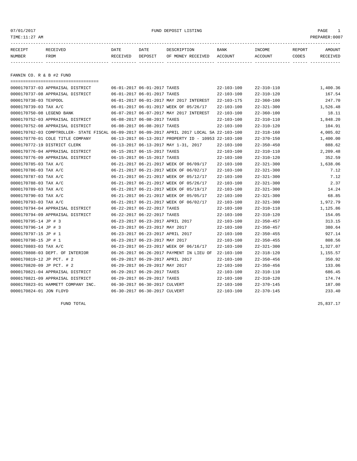| 07/01/2017<br>TIME:11:27 AM |                                  |          |                             | FUND DEPOSIT LISTING                    |                  |                  |        | PAGE<br>PREPARER:0007 |
|-----------------------------|----------------------------------|----------|-----------------------------|-----------------------------------------|------------------|------------------|--------|-----------------------|
| RECEIPT                     | RECEIVED                         | DATE     | DATE                        | DESCRIPTION                             | BANK             | INCOME           | REPORT | AMOUNT                |
| NUMBER                      | <b>FROM</b>                      | RECEIVED | DEPOSIT                     | OF MONEY RECEIVED                       | ACCOUNT          | ACCOUNT          | CODES  | RECEIVED              |
| FANNIN CO. R & B #2 FUND    |                                  |          |                             |                                         |                  |                  |        |                       |
|                             | 0000170737-03 APPRAISAL DISTRICT |          | 06-01-2017 06-01-2017 TAXES |                                         | $22 - 103 - 100$ | $22 - 310 - 110$ |        | 1,400.36              |
|                             | 0000170737-08 APPRAISAL DISTRICT |          | 06-01-2017 06-01-2017 TAXES |                                         | $22 - 103 - 100$ | $22 - 310 - 120$ |        | 167.54                |
| 0000170738-03 TEXPOOL       |                                  |          |                             | 06-01-2017 06-01-2017 MAY 2017 INTEREST | $22 - 103 - 175$ | $22 - 360 - 100$ |        | 247.70                |
| 0000170739-03 TAX A/C       |                                  |          |                             | 06-01-2017 06-01-2017 WEEK OF 05/26/17  | 22-103-100       | $22 - 321 - 300$ |        | 1,526.48              |
| 0000170750-08 LEGEND BANK   |                                  |          |                             | 06-07-2017 06-07-2017 MAY 2017 INTEREST | 22-103-100       | $22 - 360 - 100$ |        | 18.11                 |
|                             |                                  |          |                             |                                         | .                | .                |        | .                     |

| 0000170750-08 LEGEND BANK                                                                    |                                  |                             | 06-07-2017 06-07-2017 MAY 2017 INTEREST              | 22-103-100       | $22 - 360 - 100$ | 18.11    |
|----------------------------------------------------------------------------------------------|----------------------------------|-----------------------------|------------------------------------------------------|------------------|------------------|----------|
| 0000170752-03 APPRAISAL DISTRICT                                                             |                                  | 06-08-2017 06-08-2017 TAXES |                                                      | $22 - 103 - 100$ | $22 - 310 - 110$ | 1,848.20 |
| 0000170752-08 APPRAISAL DISTRICT                                                             | 06-08-2017 06-08-2017 TAXES      |                             |                                                      | $22 - 103 - 100$ | $22 - 310 - 120$ | 104.91   |
| 0000170762-03 COMPTROLLER- STATE FISCAL 06-09-2017 06-09-2017 APRIL 2017 LOCAL SA 22-103-100 |                                  |                             |                                                      |                  | $22 - 318 - 160$ | 4,005.02 |
| 0000170770-01 COLE TITLE COMPANY                                                             |                                  |                             | 06-13-2017 06-13-2017 PROPERTY ID - 10953 22-103-100 |                  | $22 - 370 - 150$ | 1,400.00 |
| 0000170772-19 DISTRICT CLERK                                                                 |                                  |                             | 06-13-2017 06-13-2017 MAY 1-31, 2017                 | $22 - 103 - 100$ | $22 - 350 - 450$ | 888.62   |
| 0000170776-04 APPRAISAL DISTRICT                                                             | 06-15-2017 06-15-2017 TAXES      |                             |                                                      | $22 - 103 - 100$ | $22 - 310 - 110$ | 2,209.48 |
| 0000170776-09 APPRAISAL DISTRICT                                                             | 06-15-2017 06-15-2017 TAXES      |                             |                                                      | $22 - 103 - 100$ | $22 - 310 - 120$ | 352.59   |
| 0000170785-03 TAX A/C                                                                        |                                  |                             | 06-21-2017 06-21-2017 WEEK OF 06/09/17               | $22 - 103 - 100$ | $22 - 321 - 300$ | 1,638.06 |
| 0000170786-03 TAX A/C                                                                        |                                  |                             | 06-21-2017 06-21-2017 WEEK OF 06/02/17               | $22 - 103 - 100$ | $22 - 321 - 300$ | 7.12     |
| 0000170787-03 TAX A/C                                                                        |                                  |                             | 06-21-2017 06-21-2017 WEEK OF 05/12/17               | $22 - 103 - 100$ | $22 - 321 - 300$ | 7.12     |
| 0000170788-03 TAX A/C                                                                        |                                  |                             | 06-21-2017 06-21-2017 WEEK OF 05/26/17               | $22 - 103 - 100$ | $22 - 321 - 300$ | 2.37     |
| 0000170789-03 TAX A/C                                                                        |                                  |                             | 06-21-2017 06-21-2017 WEEK OF 05/19/17               | $22 - 103 - 100$ | $22 - 321 - 300$ | 14.24    |
| 0000170790-03 TAX A/C                                                                        |                                  |                             | 06-21-2017 06-21-2017 WEEK OF 05/05/17               | $22 - 103 - 100$ | $22 - 321 - 300$ | 68.85    |
| 0000170793-03 TAX A/C                                                                        |                                  |                             | 06-21-2017 06-21-2017 WEEK OF 06/02/17               | $22 - 103 - 100$ | $22 - 321 - 300$ | 1,972.79 |
| 0000170794-04 APPRAISAL DISTRICT                                                             | 06-22-2017 06-22-2017 TAXES      |                             |                                                      | $22 - 103 - 100$ | $22 - 310 - 110$ | 1,125.86 |
| 0000170794-09 APPRAISAL DISTRICT                                                             | 06-22-2017 06-22-2017 TAXES      |                             |                                                      | $22 - 103 - 100$ | $22 - 310 - 120$ | 154.05   |
| 0000170795-14 JP # 3                                                                         |                                  |                             | 06-23-2017 06-23-2017 APRIL 2017                     | $22 - 103 - 100$ | $22 - 350 - 457$ | 313.15   |
| 0000170796-14 JP # 3                                                                         | 06-23-2017 06-23-2017 MAY 2017   |                             |                                                      | $22 - 103 - 100$ | $22 - 350 - 457$ | 380.64   |
| 0000170797-15 JP # 1                                                                         | 06-23-2017 06-23-2017 APRIL 2017 |                             |                                                      | $22 - 103 - 100$ | $22 - 350 - 455$ | 927.14   |
| 0000170798-15 JP # 1                                                                         | 06-23-2017 06-23-2017 MAY 2017   |                             |                                                      | $22 - 103 - 100$ | $22 - 350 - 455$ | 808.56   |
| 0000170803-03 TAX A/C                                                                        |                                  |                             | 06-23-2017 06-23-2017 WEEK OF 06/16/17               | $22 - 103 - 100$ | $22 - 321 - 300$ | 1,327.07 |
| 0000170808-03 DEPT. OF INTERIOR                                                              |                                  |                             | 06-26-2017 06-26-2017 PAYMENT IN LIEU OF             | $22 - 103 - 100$ | $22 - 318 - 120$ | 1,155.57 |
| 0000170819-12 JP PCT. # 2                                                                    | 06-29-2017 06-29-2017 APRIL 2017 |                             |                                                      | $22 - 103 - 100$ | $22 - 350 - 456$ | 350.92   |
| 0000170820-09 JP PCT. # 2                                                                    | 06-29-2017 06-29-2017 MAY 2017   |                             |                                                      | $22 - 103 - 100$ | $22 - 350 - 456$ | 133.06   |
| 0000170821-04 APPRAISAL DISTRICT                                                             | 06-29-2017 06-29-2017 TAXES      |                             |                                                      | $22 - 103 - 100$ | $22 - 310 - 110$ | 686.45   |
| 0000170821-09 APPRAISAL DISTRICT                                                             | 06-29-2017 06-29-2017 TAXES      |                             |                                                      | $22 - 103 - 100$ | $22 - 310 - 120$ | 174.74   |
| 0000170823-01 HAMMETT COMPANY INC.                                                           | 06-30-2017 06-30-2017 CULVERT    |                             |                                                      | $22 - 103 - 100$ | $22 - 370 - 145$ | 187.00   |
| 0000170824-01 JON FLOYD                                                                      | 06-30-2017 06-30-2017 CULVERT    |                             |                                                      | $22 - 103 - 100$ | $22 - 370 - 145$ | 233.40   |
|                                                                                              |                                  |                             |                                                      |                  |                  |          |

FUND TOTAL  $25,837.17$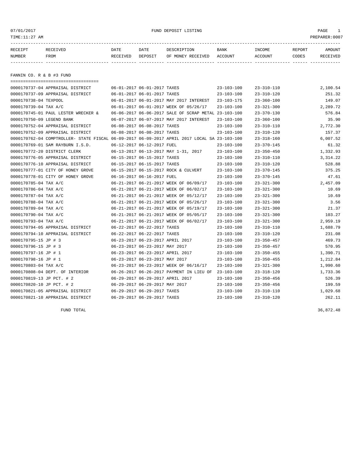| TIME:11:27 AM             |                                     |                             |         |                                                      |                  |                  |        | PREPARER:0007 |
|---------------------------|-------------------------------------|-----------------------------|---------|------------------------------------------------------|------------------|------------------|--------|---------------|
| RECEIPT                   | RECEIVED                            | DATE                        | DATE    | DESCRIPTION                                          | <b>BANK</b>      | INCOME           | REPORT | AMOUNT        |
| NUMBER                    | <b>FROM</b>                         | RECEIVED                    | DEPOSIT | OF MONEY RECEIVED                                    | ACCOUNT          | ACCOUNT          | CODES  | RECEIVED      |
|                           |                                     |                             |         |                                                      |                  |                  |        |               |
| FANNIN CO. R & B #3 FUND  |                                     |                             |         |                                                      |                  |                  |        |               |
|                           |                                     |                             |         |                                                      |                  |                  |        |               |
|                           | 0000170737-04 APPRAISAL DISTRICT    | 06-01-2017 06-01-2017 TAXES |         |                                                      | $23 - 103 - 100$ | $23 - 310 - 110$ |        | 2,100.54      |
|                           | 0000170737-09 APPRAISAL DISTRICT    | 06-01-2017 06-01-2017 TAXES |         |                                                      | $23 - 103 - 100$ | $23 - 310 - 120$ |        | 251.32        |
| 0000170738-04 TEXPOOL     |                                     |                             |         | 06-01-2017 06-01-2017 MAY 2017 INTEREST              | $23 - 103 - 175$ | $23 - 360 - 100$ |        | 149.07        |
| 0000170739-04 TAX A/C     |                                     |                             |         | 06-01-2017 06-01-2017 WEEK OF 05/26/17               | $23 - 103 - 100$ | $23 - 321 - 300$ |        | 2,289.72      |
|                           | 0000170745-01 PAUL LESTER WRECKER & |                             |         | 06-06-2017 06-06-2017 SALE OF SCRAP METAL 23-103-100 |                  | $23 - 370 - 130$ |        | 576.84        |
| 0000170750-09 LEGEND BANK |                                     |                             |         | 06-07-2017 06-07-2017 MAY 2017 INTEREST              | $23 - 103 - 100$ | $23 - 360 - 100$ |        | 35.90         |

|                           | 0000170745-01 PAUL LESIER WRECKER &                                                          |                                  | 00-00-2017 00-00-2017 SALE OF SCRAP MEIAL 23-103-100 |                  | 23-370-130       | 5/0.04    |
|---------------------------|----------------------------------------------------------------------------------------------|----------------------------------|------------------------------------------------------|------------------|------------------|-----------|
| 0000170750-09 LEGEND BANK |                                                                                              |                                  | 06-07-2017 06-07-2017 MAY 2017 INTEREST              | $23 - 103 - 100$ | $23 - 360 - 100$ | 35.90     |
|                           | 0000170752-04 APPRAISAL DISTRICT                                                             | 06-08-2017 06-08-2017 TAXES      |                                                      | $23 - 103 - 100$ | $23 - 310 - 110$ | 2,772.30  |
|                           | 0000170752-09 APPRAISAL DISTRICT                                                             | 06-08-2017 06-08-2017 TAXES      |                                                      | $23 - 103 - 100$ | $23 - 310 - 120$ | 157.37    |
|                           | 0000170762-04 COMPTROLLER- STATE FISCAL 06-09-2017 06-09-2017 APRIL 2017 LOCAL SA 23-103-100 |                                  |                                                      |                  | $23 - 318 - 160$ | 6,007.52  |
|                           | 0000170769-01 SAM RAYBURN I.S.D.                                                             | 06-12-2017 06-12-2017 FUEL       |                                                      | $23 - 103 - 100$ | $23 - 370 - 145$ | 61.32     |
|                           | 0000170772-20 DISTRICT CLERK                                                                 |                                  | 06-13-2017 06-13-2017 MAY 1-31, 2017                 | $23 - 103 - 100$ | $23 - 350 - 450$ | 1,332.93  |
|                           | 0000170776-05 APPRAISAL DISTRICT                                                             | 06-15-2017 06-15-2017 TAXES      |                                                      | $23 - 103 - 100$ | $23 - 310 - 110$ | 3, 314.22 |
|                           | 0000170776-10 APPRAISAL DISTRICT                                                             | 06-15-2017 06-15-2017 TAXES      |                                                      | $23 - 103 - 100$ | $23 - 310 - 120$ | 528.88    |
|                           | 0000170777-01 CITY OF HONEY GROVE                                                            |                                  | 06-15-2017 06-15-2017 ROCK & CULVERT                 | $23 - 103 - 100$ | $23 - 370 - 145$ | 375.25    |
|                           | 0000170778-01 CITY OF HONEY GROVE                                                            | 06-16-2017 06-16-2017 FUEL       |                                                      | $23 - 103 - 100$ | $23 - 370 - 145$ | 47.61     |
| 0000170785-04 TAX A/C     |                                                                                              |                                  | 06-21-2017 06-21-2017 WEEK OF 06/09/17               | $23 - 103 - 100$ | $23 - 321 - 300$ | 2,457.09  |
| 0000170786-04 TAX A/C     |                                                                                              |                                  | 06-21-2017 06-21-2017 WEEK OF 06/02/17               | $23 - 103 - 100$ | $23 - 321 - 300$ | 10.69     |
| 0000170787-04 TAX A/C     |                                                                                              |                                  | 06-21-2017 06-21-2017 WEEK OF 05/12/17               | $23 - 103 - 100$ | $23 - 321 - 300$ | 10.69     |
| 0000170788-04 TAX A/C     |                                                                                              |                                  | 06-21-2017 06-21-2017 WEEK OF 05/26/17               | $23 - 103 - 100$ | $23 - 321 - 300$ | 3.56      |
| 0000170789-04 TAX A/C     |                                                                                              |                                  | 06-21-2017 06-21-2017 WEEK OF 05/19/17               | $23 - 103 - 100$ | $23 - 321 - 300$ | 21.37     |
| 0000170790-04 TAX A/C     |                                                                                              |                                  | 06-21-2017 06-21-2017 WEEK OF 05/05/17               | $23 - 103 - 100$ | $23 - 321 - 300$ | 103.27    |
| 0000170793-04 TAX A/C     |                                                                                              |                                  | 06-21-2017 06-21-2017 WEEK OF 06/02/17               | $23 - 103 - 100$ | $23 - 321 - 300$ | 2,959.19  |
|                           | 0000170794-05 APPRAISAL DISTRICT                                                             | 06-22-2017 06-22-2017 TAXES      |                                                      | $23 - 103 - 100$ | $23 - 310 - 110$ | 1,688.79  |
|                           | 0000170794-10 APPRAISAL DISTRICT                                                             | 06-22-2017 06-22-2017 TAXES      |                                                      | $23 - 103 - 100$ | $23 - 310 - 120$ | 231.08    |
| 0000170795-15 JP # 3      |                                                                                              |                                  | 06-23-2017 06-23-2017 APRIL 2017                     | $23 - 103 - 100$ | $23 - 350 - 457$ | 469.73    |
| 0000170796-15 JP # 3      |                                                                                              | 06-23-2017 06-23-2017 MAY 2017   |                                                      | $23 - 103 - 100$ | $23 - 350 - 457$ | 570.95    |
| 0000170797-16 JP # 1      |                                                                                              |                                  | 06-23-2017 06-23-2017 APRIL 2017                     | $23 - 103 - 100$ | $23 - 350 - 455$ | 1,390.71  |
| 0000170798-16 JP # 1      |                                                                                              | 06-23-2017 06-23-2017 MAY 2017   |                                                      | $23 - 103 - 100$ | $23 - 350 - 455$ | 1,212.84  |
| 0000170803-04 TAX A/C     |                                                                                              |                                  | 06-23-2017 06-23-2017 WEEK OF 06/16/17               | $23 - 103 - 100$ | $23 - 321 - 300$ | 1,990.60  |
|                           | 0000170808-04 DEPT. OF INTERIOR                                                              |                                  | 06-26-2017 06-26-2017 PAYMENT IN LIEU OF             | $23 - 103 - 100$ | $23 - 318 - 120$ | 1,733.36  |
| 0000170819-13 JP PCT. # 2 |                                                                                              | 06-29-2017 06-29-2017 APRIL 2017 |                                                      | $23 - 103 - 100$ | $23 - 350 - 456$ | 526.39    |
| 0000170820-10 JP PCT. # 2 |                                                                                              | 06-29-2017 06-29-2017 MAY 2017   |                                                      | $23 - 103 - 100$ | $23 - 350 - 456$ | 199.59    |
|                           | 0000170821-05 APPRAISAL DISTRICT                                                             | 06-29-2017 06-29-2017 TAXES      |                                                      | $23 - 103 - 100$ | $23 - 310 - 110$ | 1,029.68  |
|                           | 0000170821-10 APPRAISAL DISTRICT                                                             | 06-29-2017 06-29-2017 TAXES      |                                                      | $23 - 103 - 100$ | $23 - 310 - 120$ | 262.11    |

FUND TOTAL  $36,872.48$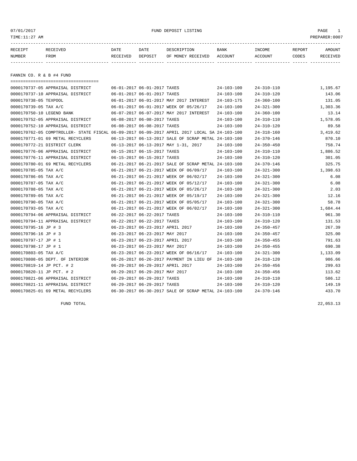| TIME:11:27 AM             |                                  |                                         |         |                                         |                   |                   |        | PREPARER:0007 |
|---------------------------|----------------------------------|-----------------------------------------|---------|-----------------------------------------|-------------------|-------------------|--------|---------------|
| RECEIPT                   | <b>RECEIVED</b>                  | DATE                                    | DATE    | DESCRIPTION                             | <b>BANK</b>       | INCOME            | REPORT | AMOUNT        |
| NUMBER                    | FROM                             | RECEIVED                                | DEPOSIT | OF MONEY RECEIVED                       | ACCOUNT           | ACCOUNT           | CODES  | RECEIVED      |
|                           |                                  |                                         |         |                                         |                   |                   |        |               |
|                           |                                  |                                         |         |                                         |                   |                   |        |               |
| FANNIN CO. R & B #4 FUND  |                                  |                                         |         |                                         |                   |                   |        |               |
|                           |                                  |                                         |         |                                         |                   |                   |        |               |
|                           | 0000170737-05 APPRAISAL DISTRICT | 06-01-2017 06-01-2017 TAXES             |         |                                         | $24 - 103 - 100$  | $24 - 310 - 110$  |        | 1,195.67      |
|                           | 0000170737-10 APPRAISAL DISTRICT | 06-01-2017 06-01-2017 TAXES             |         |                                         | $24 - 103 - 100$  | $24 - 310 - 120$  |        | 143.06        |
| 0000170738-05 TEXPOOL     |                                  |                                         |         | 06-01-2017 06-01-2017 MAY 2017 INTEREST | $24 - 103 - 175$  | $24 - 360 - 100$  |        | 131.05        |
| 0000170739-05 TAX A/C     |                                  |                                         |         | 06-01-2017 06-01-2017 WEEK OF 05/26/17  | 24-103-100        | $24 - 321 - 300$  |        | 1,303.36      |
| 0000170750-10 LEGEND BANK |                                  |                                         |         | 06-07-2017 06-07-2017 MAY 2017 INTEREST | 24-103-100        | $24 - 360 - 100$  |        | 13.14         |
|                           | 0000170752.05 ADDRATCAT DICTOICT | $AC$ $AO$ $2017$ $OC$ $AO$ $2017$ $T27$ |         |                                         | <b>24 102 100</b> | <b>04 210 110</b> |        | 1 E70 AE      |

| 0000170739-05 TAX A/C     |                                                                                              |                                  | 06-01-2017 06-01-2017 WEEK OF 05/26/17               | 24-103-100       | $24 - 321 - 300$ | 1,303.36 |
|---------------------------|----------------------------------------------------------------------------------------------|----------------------------------|------------------------------------------------------|------------------|------------------|----------|
| 0000170750-10 LEGEND BANK |                                                                                              |                                  | 06-07-2017 06-07-2017 MAY 2017 INTEREST              | $24 - 103 - 100$ | $24 - 360 - 100$ | 13.14    |
|                           | 0000170752-05 APPRAISAL DISTRICT                                                             | 06-08-2017 06-08-2017 TAXES      |                                                      | $24 - 103 - 100$ | $24 - 310 - 110$ | 1,578.05 |
|                           | 0000170752-10 APPRAISAL DISTRICT                                                             | 06-08-2017 06-08-2017 TAXES      |                                                      | $24 - 103 - 100$ | $24 - 310 - 120$ | 89.58    |
|                           | 0000170762-05 COMPTROLLER- STATE FISCAL 06-09-2017 06-09-2017 APRIL 2017 LOCAL SA 24-103-100 |                                  |                                                      |                  | $24 - 318 - 160$ | 3,419.62 |
|                           | 0000170771-01 69 METAL RECYCLERS                                                             |                                  | 06-13-2017 06-13-2017 SALE OF SCRAP METAL 24-103-100 |                  | $24 - 370 - 146$ | 870.10   |
|                           | 0000170772-21 DISTRICT CLERK                                                                 |                                  | 06-13-2017 06-13-2017 MAY 1-31, 2017                 | $24 - 103 - 100$ | $24 - 350 - 450$ | 758.74   |
|                           | 0000170776-06 APPRAISAL DISTRICT                                                             | 06-15-2017 06-15-2017 TAXES      |                                                      | $24 - 103 - 100$ | $24 - 310 - 110$ | 1,886.52 |
|                           | 0000170776-11 APPRAISAL DISTRICT                                                             | 06-15-2017 06-15-2017 TAXES      |                                                      | $24 - 103 - 100$ | $24 - 310 - 120$ | 301.05   |
|                           | 0000170780-01 69 METAL RECYCLERS                                                             |                                  | 06-21-2017 06-21-2017 SALE OF SCRAP METAL 24-103-100 |                  | $24 - 370 - 146$ | 325.75   |
| 0000170785-05 TAX A/C     |                                                                                              |                                  | 06-21-2017 06-21-2017 WEEK OF 06/09/17               | $24 - 103 - 100$ | $24 - 321 - 300$ | 1,398.63 |
| 0000170786-05 TAX A/C     |                                                                                              |                                  | 06-21-2017 06-21-2017 WEEK OF 06/02/17               | $24 - 103 - 100$ | $24 - 321 - 300$ | 6.08     |
| 0000170787-05 TAX A/C     |                                                                                              |                                  | 06-21-2017 06-21-2017 WEEK OF 05/12/17               | $24 - 103 - 100$ | $24 - 321 - 300$ | 6.08     |
| 0000170788-05 TAX A/C     |                                                                                              |                                  | 06-21-2017 06-21-2017 WEEK OF 05/26/17               | $24 - 103 - 100$ | $24 - 321 - 300$ | 2.03     |
| 0000170789-05 TAX A/C     |                                                                                              |                                  | 06-21-2017 06-21-2017 WEEK OF 05/19/17               | $24 - 103 - 100$ | $24 - 321 - 300$ | 12.16    |
| 0000170790-05 TAX A/C     |                                                                                              |                                  | 06-21-2017 06-21-2017 WEEK OF 05/05/17               | $24 - 103 - 100$ | $24 - 321 - 300$ | 58.78    |
| 0000170793-05 TAX A/C     |                                                                                              |                                  | 06-21-2017 06-21-2017 WEEK OF 06/02/17               | $24 - 103 - 100$ | $24 - 321 - 300$ | 1,684.44 |
|                           | 0000170794-06 APPRAISAL DISTRICT                                                             | 06-22-2017 06-22-2017 TAXES      |                                                      | $24 - 103 - 100$ | $24 - 310 - 110$ | 961.30   |
|                           | 0000170794-11 APPRAISAL DISTRICT                                                             | 06-22-2017 06-22-2017 TAXES      |                                                      | $24 - 103 - 100$ | $24 - 310 - 120$ | 131.53   |
| 0000170795-16 JP # 3      |                                                                                              | 06-23-2017 06-23-2017 APRIL 2017 |                                                      | 24-103-100       | $24 - 350 - 457$ | 267.39   |
| 0000170796-16 JP # 3      |                                                                                              | 06-23-2017 06-23-2017 MAY 2017   |                                                      | $24 - 103 - 100$ | $24 - 350 - 457$ | 325.00   |
| 0000170797-17 JP # 1      |                                                                                              | 06-23-2017 06-23-2017 APRIL 2017 |                                                      | $24 - 103 - 100$ | $24 - 350 - 455$ | 791.63   |
| 0000170798-17 JP # 1      |                                                                                              | 06-23-2017 06-23-2017 MAY 2017   |                                                      | $24 - 103 - 100$ | $24 - 350 - 455$ | 690.38   |
| 0000170803-05 TAX A/C     |                                                                                              |                                  | 06-23-2017 06-23-2017 WEEK OF 06/16/17               | $24 - 103 - 100$ | $24 - 321 - 300$ | 1,133.09 |
|                           | 0000170808-05 DEPT. OF INTERIOR                                                              |                                  | 06-26-2017 06-26-2017 PAYMENT IN LIEU OF             | 24-103-100       | $24 - 318 - 120$ | 986.66   |
| 0000170819-14 JP PCT. # 2 |                                                                                              | 06-29-2017 06-29-2017 APRIL 2017 |                                                      | $24 - 103 - 100$ | $24 - 350 - 456$ | 299.63   |
| 0000170820-11 JP PCT. # 2 |                                                                                              | 06-29-2017 06-29-2017 MAY 2017   |                                                      | $24 - 103 - 100$ | $24 - 350 - 456$ | 113.62   |
|                           | 0000170821-06 APPRAISAL DISTRICT                                                             | 06-29-2017 06-29-2017 TAXES      |                                                      | $24 - 103 - 100$ | $24 - 310 - 110$ | 586.12   |
|                           | 0000170821-11 APPRAISAL DISTRICT                                                             | 06-29-2017 06-29-2017 TAXES      |                                                      | $24 - 103 - 100$ | $24 - 310 - 120$ | 149.19   |
|                           | 0000170825-01 69 METAL RECYCLERS                                                             |                                  | 06-30-2017 06-30-2017 SALE OF SCRAP METAL 24-103-100 |                  | $24 - 370 - 146$ | 433.70   |
|                           |                                                                                              |                                  |                                                      |                  |                  |          |
|                           |                                                                                              |                                  |                                                      |                  |                  |          |

FUND TOTAL  $22,053.13$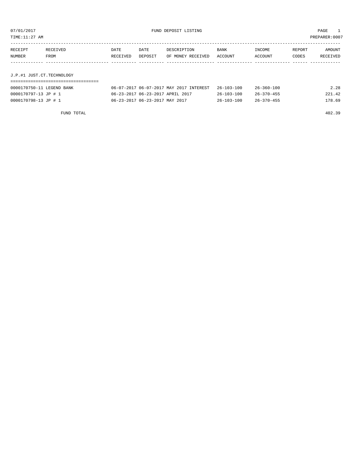TIME:11:27 AM PREPARER:0007

| RECEIPT | RECEIVED | DATE     | DATE    | DESCRIPTION       | <b>BANK</b> | INCOME  | REPORT | AMOUNT   |
|---------|----------|----------|---------|-------------------|-------------|---------|--------|----------|
| NUMBER  | FROM     | RECEIVED | DEPOSIT | OF MONEY RECEIVED | ACCOUNT     | ACCOUNT | CODES  | RECEIVED |
|         |          |          |         |                   |             |         |        |          |
|         |          |          |         |                   |             |         |        |          |

J.P.#1 JUST.CT.TECHNOLOGY ===================================

| 0000170750-11 LEGEND BANK | 06-07-2017 06-07-2017 MAY 2017 INTEREST 26-103-100 |                  | $26 - 360 - 100$ | 2.28   |
|---------------------------|----------------------------------------------------|------------------|------------------|--------|
| 0000170797-13 JP # 1      | 06-23-2017 06-23-2017 APRIL 2017                   | $26 - 103 - 100$ | $26 - 370 - 455$ | 221.42 |
| 0000170798-13 JP # 1      | 06-23-2017 06-23-2017 MAY 2017                     | $26 - 103 - 100$ | $26 - 370 - 455$ | 178.69 |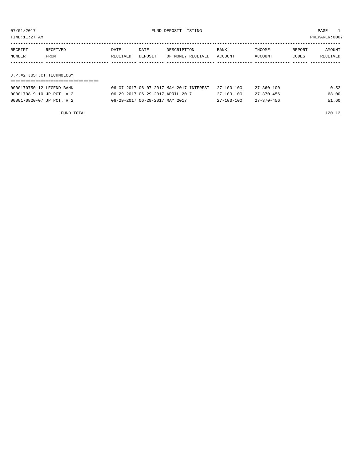TIME:11:27 AM PREPARER:0007

| RECEIPT | RECEIVED | DATE     | DATE    | DESCRIPTION       | <b>BANK</b> | INCOME         | <b>REPORT</b> | <b>AMOUNT</b> |
|---------|----------|----------|---------|-------------------|-------------|----------------|---------------|---------------|
| NUMBER  | FROM     | RECEIVED | DEPOSIT | OF MONEY RECEIVED | ACCOUNT     | <b>ACCOUNT</b> | CODES         | RECEIVED      |
|         |          |          |         |                   |             |                |               |               |

# J.P.#2 JUST.CT.TECHNOLOGY

| 0000170750-12 LEGEND BANK | 06-07-2017 06-07-2017 MAY 2017 INTEREST 27-103-100 |            | 27-360-100       | 0.52  |
|---------------------------|----------------------------------------------------|------------|------------------|-------|
| 0000170819-10 JP PCT. # 2 | 06-29-2017 06-29-2017 APRIL 2017                   | 27-103-100 | 27-370-456       | 68.00 |
| 0000170820-07 JP PCT. # 2 | 06-29-2017 06-29-2017 MAY 2017                     | 27-103-100 | $27 - 370 - 456$ | 51.60 |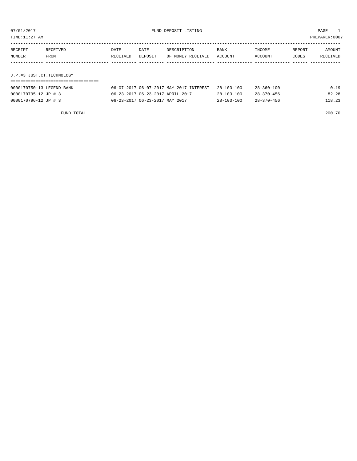TIME:11:27 AM PREPARER:0007

| RECEIPT | RECEIVED    | DATE     | DATE    | DESCRIPTION       | <b>BANK</b> | INCOME  | REPORT | AMOUNT   |
|---------|-------------|----------|---------|-------------------|-------------|---------|--------|----------|
| NUMBER  | <b>FROM</b> | RECEIVED | DEPOSIT | OF MONEY RECEIVED | ACCOUNT     | ACCOUNT | CODES  | RECEIVED |
|         |             |          |         |                   |             |         |        |          |

J.P.#3 JUST.CT.TECHNOLOGY

| 0000170750-13 LEGEND BANK | 06-07-2017 06-07-2017 MAY 2017 INTEREST | 28-103-100       | $28 - 360 - 100$ | 0.19   |
|---------------------------|-----------------------------------------|------------------|------------------|--------|
| 0000170795-12 JP # 3      | 06-23-2017 06-23-2017 APRIL 2017        | 28-103-100       | 28-370-456       | 82.28  |
| 0000170796-12 JP # 3      | 06-23-2017 06-23-2017 MAY 2017          | $28 - 103 - 100$ | 28-370-456       | 118.23 |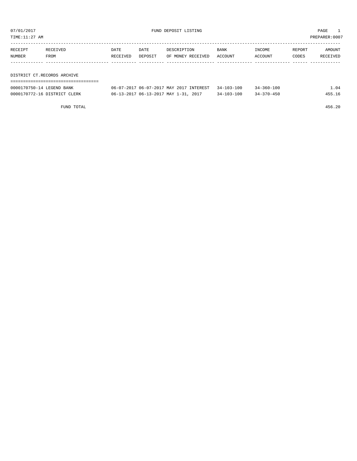TIME:11:27 AM PREPARER:0007

| RECEIPT | RECEIVED                    | DATE     | DATE    | DESCRIPTION       | <b>BANK</b> | INCOME  | REPORT | AMOUNT   |  |
|---------|-----------------------------|----------|---------|-------------------|-------------|---------|--------|----------|--|
| NUMBER  | FROM                        | RECEIVED | DEPOSIT | OF MONEY RECEIVED | ACCOUNT     | ACCOUNT | CODES  | RECEIVED |  |
|         |                             |          |         |                   |             |         |        |          |  |
|         |                             |          |         |                   |             |         |        |          |  |
|         | DISTRICT CT.RECORDS ARCHIVE |          |         |                   |             |         |        |          |  |

===================================

| 0000170750-14 LEGEND BANK    | 06-07-2017 06-07-2017 MAY 2017 INTEREST 34-103-100 |                  | $34 - 360 - 100$ | 1.04   |
|------------------------------|----------------------------------------------------|------------------|------------------|--------|
| 0000170772-16 DISTRICT CLERK | 06-13-2017 06-13-2017 MAY 1-31, 2017               | $34 - 103 - 100$ | $34 - 370 - 450$ | 455.16 |

FUND TOTAL 456.20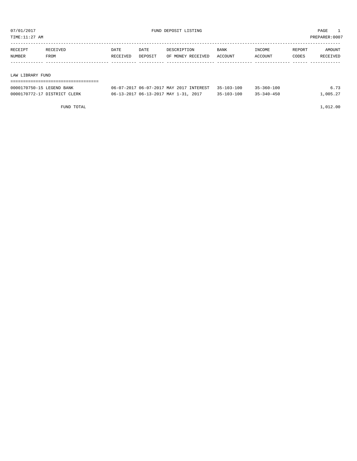TIME:11:27 AM PREPARER:0007

| RECEIPT                | RECEIVED | DATE     | DATE    | DESCRIPTION       | <b>BANK</b> | INCOME  | REPORT | AMOUNT   |
|------------------------|----------|----------|---------|-------------------|-------------|---------|--------|----------|
| NUMBER                 | FROM     | RECEIVED | DEPOSIT | OF MONEY RECEIVED | ACCOUNT     | ACCOUNT | CODES  | RECEIVED |
|                        |          |          |         |                   |             |         |        |          |
|                        |          |          |         |                   |             |         |        |          |
| תזהדים עם גם מדינה אני |          |          |         |                   |             |         |        |          |

#### LAW LIBRARY FUND

| 0000170750-15 LEGEND BANK    | 06-07-2017 06-07-2017 MAY 2017 INTEREST 35-103-100 |                  | $35 - 360 - 100$ | 6.73     |
|------------------------------|----------------------------------------------------|------------------|------------------|----------|
| 0000170772-17 DISTRICT CLERK | 06-13-2017 06-13-2017 MAY 1-31, 2017               | $35 - 103 - 100$ | $35 - 340 - 450$ | 1,005.27 |

FUND TOTAL 1,012.00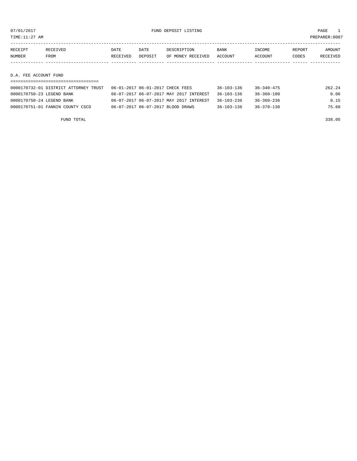TIME:11:27 AM PREPARER:0007

| RECEIPT | RECEIVED | DATE     | DATE    | DESCRIPTION       | <b>BANK</b> | INCOME  | REPORT | AMOUNT   |
|---------|----------|----------|---------|-------------------|-------------|---------|--------|----------|
| NUMBER  | FROM     | RECEIVED | DEPOSIT | OF MONEY RECEIVED | ACCOUNT     | ACCOUNT | CODES  | RECEIVED |
|         |          |          |         |                   |             |         |        |          |
|         |          |          |         |                   |             |         |        |          |

### D.A. FEE ACCOUNT FUND

| 0000170732-01 DISTRICT ATTORNEY TRUST | 06-01-2017 06-01-2017 CHECK FEES        | 36-103-136       | 36-340-475       | 262.24 |
|---------------------------------------|-----------------------------------------|------------------|------------------|--------|
| 0000170750-23 LEGEND BANK             | 06-07-2017 06-07-2017 MAY 2017 INTEREST | $36 - 103 - 136$ | 36-360-100       | 0.06   |
| 0000170750-24 LEGEND BANK             | 06-07-2017 06-07-2017 MAY 2017 INTEREST | $36 - 103 - 236$ | 36-360-236       | 0.15   |
| 0000170751-01 FANNIN COUNTY CSCD      | 06-07-2017 06-07-2017 BLOOD DRAWS       | $36 - 103 - 136$ | $36 - 370 - 130$ | 75.60  |

FUND TOTAL 338.05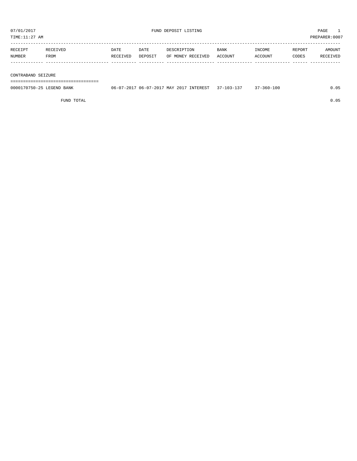| TIME:11:27 AM |             |             |         |                   |             |         |        | PREPARER: 0007  |
|---------------|-------------|-------------|---------|-------------------|-------------|---------|--------|-----------------|
| RECEIPT       | RECEIVED    | <b>DATE</b> | DATE    | DESCRIPTION       | <b>BANK</b> | INCOME  | REPORT | AMOUNT          |
| <b>NUMBER</b> | <b>FROM</b> | RECEIVED    | DEPOSIT | OF MONEY RECEIVED | ACCOUNT     | ACCOUNT | CODES  | <b>RECEIVED</b> |
|               |             |             |         |                   |             |         |        |                 |

#### CONTRABAND SEIZURE

===================================

| 0000170750-25 LEGEND BANK | 06-07-2017 06-07-2017 MAY 2017 INTEREST 37-103-137 | 37-360-100 | 0.05 |
|---------------------------|----------------------------------------------------|------------|------|
|                           |                                                    |            |      |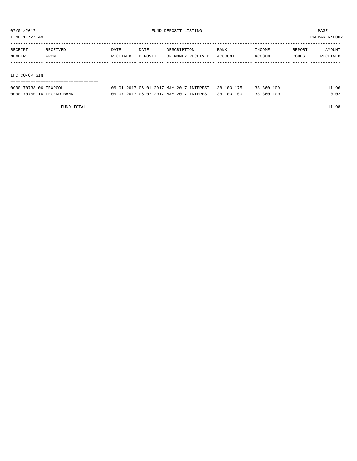TIME:11:27 AM PREPARER:0007

| RECEIPT | RECEIVED | DATE     | DATE    | DESCRIPTION       | <b>BANK</b> | INCOME  | REPORT | AMOUNT   |
|---------|----------|----------|---------|-------------------|-------------|---------|--------|----------|
| NUMBER  | FROM     | RECEIVED | DEPOSIT | OF MONEY RECEIVED | ACCOUNT     | ACCOUNT | CODES  | RECEIVED |
|         |          |          |         |                   |             |         |        |          |
|         |          |          |         |                   |             |         |        |          |
|         |          |          |         |                   |             |         |        |          |

#### IHC CO-OP GIN

| --------------------      |                                                    |                  |       |
|---------------------------|----------------------------------------------------|------------------|-------|
| 0000170738-06 TEXPOOL     | 06-01-2017 06-01-2017 MAY 2017 INTEREST 38-103-175 | $38 - 360 - 100$ | 11.96 |
| 0000170750-16 LEGEND BANK | 06-07-2017 06-07-2017 MAY 2017 INTEREST 38-103-100 | $38 - 360 - 100$ | 0.02  |

FUND TOTAL 11.98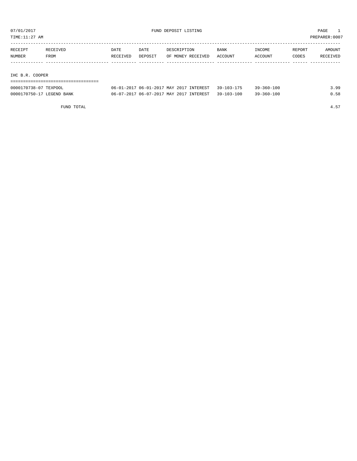TIME:11:27 AM PREPARER:0007

| RECEIPT | RECEIVED | DATE     | DATE    | DESCRIPTION       | <b>BANK</b> | INCOME  | REPORT | AMOUNT   |
|---------|----------|----------|---------|-------------------|-------------|---------|--------|----------|
| NUMBER  | FROM     | RECEIVED | DEPOSIT | OF MONEY RECEIVED | ACCOUNT     | ACCOUNT | CODES  | RECEIVED |
|         |          |          |         |                   |             |         |        |          |
|         |          |          |         |                   |             |         |        |          |

IHC B.R. COOPER

| -------------------------------------<br>----------------------------------- |
|------------------------------------------------------------------------------|
|                                                                              |

| 0000170738-07 TEXPOOL     | 06-01-2017 06-01-2017 MAY 2017 INTEREST 39-103-175 | $39 - 360 - 100$ | 399 |
|---------------------------|----------------------------------------------------|------------------|-----|
| 0000170750-17 LEGEND BANK | 06-07-2017 06-07-2017 MAY 2017 INTEREST 39-103-100 | $39 - 360 - 100$ |     |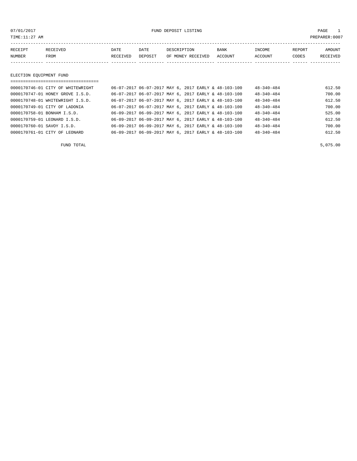07/01/2017 FUND DEPOSIT LISTING PAGE 1

| RECEIPT       | <b>RECEIVED</b> | DATE     | DATE    | DESCRIPTION       | BANK    | INCOME         | REPORT | AMOUNT          |
|---------------|-----------------|----------|---------|-------------------|---------|----------------|--------|-----------------|
| <b>NUMBER</b> | FROM            | RECEIVED | DEPOSIT | OF MONEY RECEIVED | ACCOUNT | <b>ACCOUNT</b> | CODES  | <b>RECEIVED</b> |
|               |                 |          |         |                   |         |                |        |                 |

# ELECTION EQUIPMENT FUND

|                             | 0000170746-01 CITY OF WHITEWRIGHT |  |  | 06-07-2017 06-07-2017 MAY 6, 2017 EARLY & 48-103-100 | $48 - 340 - 484$ | 612.50 |
|-----------------------------|-----------------------------------|--|--|------------------------------------------------------|------------------|--------|
|                             | 0000170747-01 HONEY GROVE I.S.D.  |  |  | 06-07-2017 06-07-2017 MAY 6, 2017 EARLY & 48-103-100 | $48 - 340 - 484$ | 700.00 |
|                             | 0000170748-01 WHITEWRIGHT I.S.D.  |  |  | 06-07-2017 06-07-2017 MAY 6, 2017 EARLY & 48-103-100 | $48 - 340 - 484$ | 612.50 |
|                             | 0000170749-01 CITY OF LADONIA     |  |  | 06-07-2017 06-07-2017 MAY 6, 2017 EARLY & 48-103-100 | $48 - 340 - 484$ | 700.00 |
| 0000170758-01 BONHAM I.S.D. |                                   |  |  | 06-09-2017 06-09-2017 MAY 6, 2017 EARLY & 48-103-100 | $48 - 340 - 484$ | 525.00 |
|                             | 0000170759-01 LEONARD I.S.D.      |  |  | 06-09-2017 06-09-2017 MAY 6, 2017 EARLY & 48-103-100 | $48 - 340 - 484$ | 612.50 |
| 0000170760-01 SAVOY I.S.D.  |                                   |  |  | 06-09-2017 06-09-2017 MAY 6, 2017 EARLY & 48-103-100 | $48 - 340 - 484$ | 700.00 |
|                             | 0000170761-01 CITY OF LEONARD     |  |  | 06-09-2017 06-09-2017 MAY 6, 2017 EARLY & 48-103-100 | $48 - 340 - 484$ | 612.50 |
|                             |                                   |  |  |                                                      |                  |        |

FUND TOTAL 5,075.00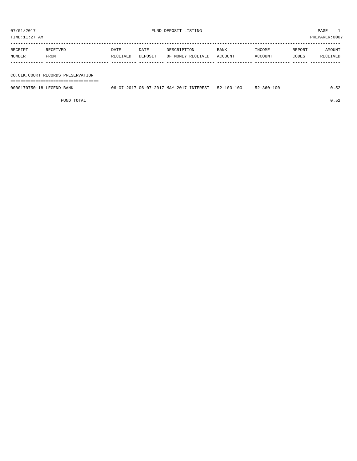TIME:11:27 AM PREPARER:0007

| RECEIPT | RECEIVED | DATE     | DATE    | DESCRIPTION       | <b>BANK</b> | INCOME  | REPORT | AMOUNT   |
|---------|----------|----------|---------|-------------------|-------------|---------|--------|----------|
| NUMBER  | FROM     | RECEIVED | DEPOSIT | OF MONEY RECEIVED | ACCOUNT     | ACCOUNT | CODES  | RECEIVED |
|         |          |          |         |                   |             |         |        |          |
|         |          |          |         |                   |             |         |        |          |

# CO.CLK.COURT RECORDS PRESERVATION

===================================

| 0000170750-18 LEGEND BANK | 06-07-2017 06-07-2017 MAY 2017 INTEREST | 52-103-100 | $52 - 360 - 100$ | U.52 |
|---------------------------|-----------------------------------------|------------|------------------|------|
|                           |                                         |            |                  |      |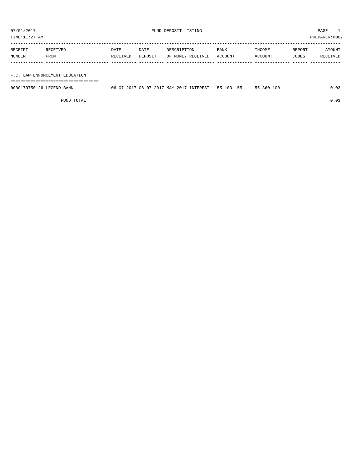TIME:11:27 AM PREPARER:0007

| RECEIPT | RECEIVED | DATE     | DATE    | DESCRIPTION       | BANK    | INCOME  | REPORT | AMOUNT   |
|---------|----------|----------|---------|-------------------|---------|---------|--------|----------|
| NUMBER  | FROM     | RECEIVED | DEPOSIT | OF MONEY RECEIVED | ACCOUNT | ACCOUNT | CODES  | RECEIVED |
|         |          |          |         |                   |         |         |        |          |
|         |          |          |         |                   |         |         |        |          |

F.C. LAW ENFORCEMENT EDUCATION

===================================

| 0000170750-26 LEGEND BANK | INTEREST<br>17-2017 06-07-2017 MAY 2017<br>$06 - v$ | $55 - 1$<br>-103-155 | $55 - 360 - 100$ |  |
|---------------------------|-----------------------------------------------------|----------------------|------------------|--|
|                           |                                                     |                      |                  |  |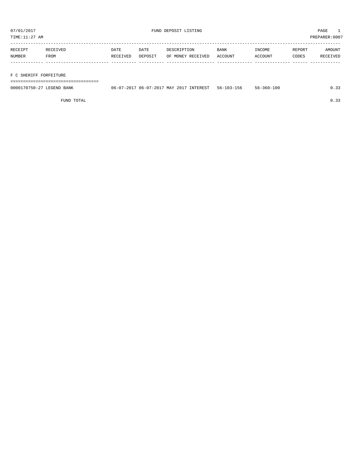| RECEIPT | <b>RECEIVED</b> | DATE     | DATE    | DESCRIPTION       | <b>BANK</b> | INCOME  | REPORT | AMOUNT   |
|---------|-----------------|----------|---------|-------------------|-------------|---------|--------|----------|
| NUMBER  | FROM            | RECEIVED | DEPOSIT | OF MONEY RECEIVED | ACCOUNT     | ACCOUNT | CODES  | RECEIVED |
|         |                 |          |         |                   |             |         |        |          |
|         |                 |          |         |                   |             |         |        |          |

### F C SHERIFF FORFEITURE

===================================

| 0000170750-27 LEGEND BANK | 06-07-2017 06-07-2017 MAY 2017 INTEREST | 56-103-156 | $56 - 360 - 100$ | ∩ ?? |
|---------------------------|-----------------------------------------|------------|------------------|------|
|                           |                                         |            |                  |      |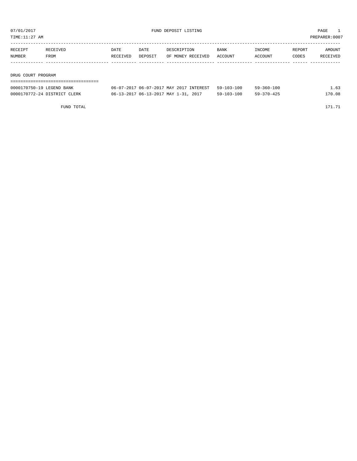TIME:11:27 AM PREPARER:0007

| RECEIPT            | RECEIVED | DATE     | DATE    | DESCRIPTION       | BANK    | INCOME  | REPORT | AMOUNT   |
|--------------------|----------|----------|---------|-------------------|---------|---------|--------|----------|
| NUMBER             | FROM     | RECEIVED | DEPOSIT | OF MONEY RECEIVED | ACCOUNT | ACCOUNT | CODES  | RECEIVED |
|                    |          |          |         |                   |         |         |        |          |
|                    |          |          |         |                   |         |         |        |          |
| DRUG COURT PROGRAM |          |          |         |                   |         |         |        |          |

| 0000170750-19 LEGEND BANK    | 06-07-2017 06-07-2017 MAY 2017 INTEREST 59-103-100 |                  | $59 - 360 - 100$ | 1.63   |
|------------------------------|----------------------------------------------------|------------------|------------------|--------|
| 0000170772-24 DISTRICT CLERK | 06-13-2017 06-13-2017 MAY 1-31, 2017               | $59 - 103 - 100$ | 59-370-425       | 170.08 |

FUND TOTAL 171.71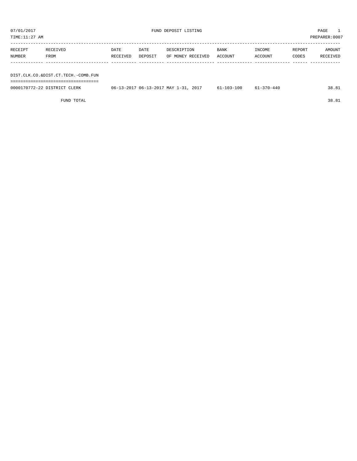| TIME:11:27 AM<br>PREPARER:0007 |                                     |          |         |                                      |            |            |        |          |  |
|--------------------------------|-------------------------------------|----------|---------|--------------------------------------|------------|------------|--------|----------|--|
|                                |                                     |          |         |                                      |            |            |        |          |  |
| RECEIPT                        | RECEIVED                            | DATE     | DATE    | DESCRIPTION                          | BANK       | INCOME     | REPORT | AMOUNT   |  |
| NUMBER                         | FROM                                | RECEIVED | DEPOSIT | OF MONEY RECEIVED                    | ACCOUNT    | ACCOUNT    | CODES  | RECEIVED |  |
|                                |                                     |          |         |                                      |            |            |        |          |  |
|                                |                                     |          |         |                                      |            |            |        |          |  |
|                                | DIST.CLK.CO.&DIST.CT.TECH.-COMB.FUN |          |         |                                      |            |            |        |          |  |
|                                |                                     |          |         |                                      |            |            |        |          |  |
|                                | 0000170772-22 DISTRICT CLERK        |          |         | 06-13-2017 06-13-2017 MAY 1-31, 2017 | 61-103-100 | 61-370-440 |        | 38.81    |  |

FUND TOTAL 38.81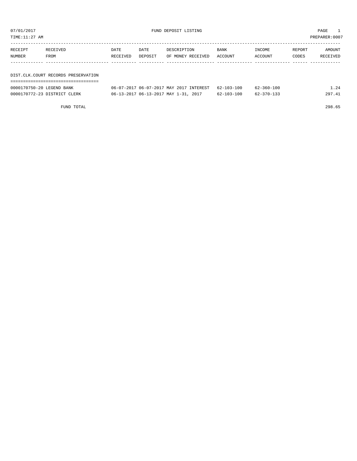| TIME:11:27 AM |                                     |          |         |                   |         |         | PREPARER:0007 |          |
|---------------|-------------------------------------|----------|---------|-------------------|---------|---------|---------------|----------|
| RECEIPT       | RECEIVED                            | DATE     | DATE    | DESCRIPTION       | BANK    | INCOME  | REPORT        | AMOUNT   |
| <b>NUMBER</b> | FROM                                | RECEIVED | DEPOSIT | OF MONEY RECEIVED | ACCOUNT | ACCOUNT | CODES         | RECEIVED |
|               |                                     |          |         |                   |         |         |               |          |
|               | DIST.CLK.COURT RECORDS PRESERVATION |          |         |                   |         |         |               |          |
|               |                                     |          |         |                   |         |         |               |          |

| 0000170750-20 LEGEND BANK    | 06-07-2017 06-07-2017 MAY 2017 INTEREST | 62-103-100       | $62 - 360 - 100$ |        |
|------------------------------|-----------------------------------------|------------------|------------------|--------|
| 0000170772-23 DISTRICT CLERK | 06-13-2017 06-13-2017 MAY 1-31, 2017    | $62 - 103 - 100$ | $62 - 370 - 133$ | 297.41 |

FUND TOTAL 298.65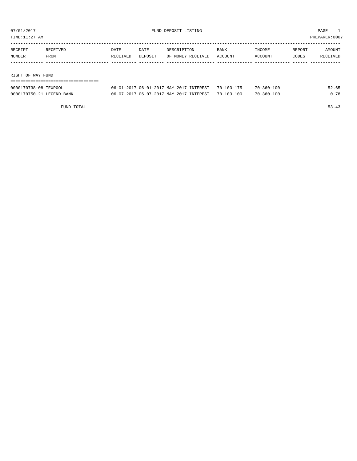TIME:11:27 AM PREPARER:0007

| RECEIPT           | RECEIVED | DATE     | DATE    | DESCRIPTION       | <b>BANK</b> | INCOME  | REPORT | AMOUNT   |
|-------------------|----------|----------|---------|-------------------|-------------|---------|--------|----------|
| NUMBER            | FROM     | RECEIVED | DEPOSIT | OF MONEY RECEIVED | ACCOUNT     | ACCOUNT | CODES  | RECEIVED |
|                   |          |          |         |                   |             |         |        |          |
|                   |          |          |         |                   |             |         |        |          |
| RIGHT OF WAY FUND |          |          |         |                   |             |         |        |          |

| ========================== |                                                    |                  |       |
|----------------------------|----------------------------------------------------|------------------|-------|
| 0000170738-08 TEXPOOL      | 06-01-2017 06-01-2017 MAY 2017 INTEREST 70-103-175 | 70-360-100       | 52.65 |
| 0000170750-21 LEGEND BANK  | 06-07-2017 06-07-2017 MAY 2017 INTEREST 70-103-100 | $70 - 360 - 100$ | 0.78  |

FUND TOTAL 53.43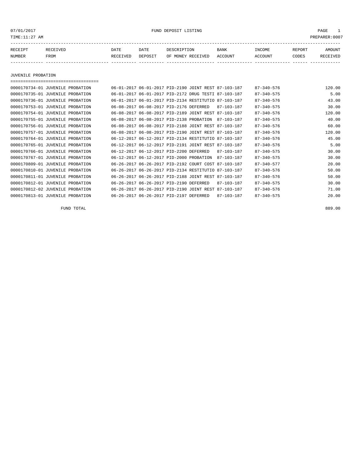07/01/2017 FUND DEPOSIT LISTING PAGE 1

| RECEIPT | <b>RECEIVED</b> | DATE            | DATE    | DESCRIPTION       | <b>BANK</b> | <b>TNCOME</b> | REPORT | AMOUNT          |
|---------|-----------------|-----------------|---------|-------------------|-------------|---------------|--------|-----------------|
| NUMBER  | FROM            | <b>RECEIVED</b> | DEPOSIT | OF MONEY RECEIVED | ACCOUNT     | ACCOUNT       | CODES  | <b>RECEIVED</b> |
|         |                 |                 |         |                   |             |               |        |                 |

JUVENILE PROBATION

| 0000170734-01 JUVENILE PROBATION |                                                      |                                |  | 06-01-2017 06-01-2017 PID-2190 JOINT REST 87-103-187 | $87 - 340 - 576$ | 120.00 |
|----------------------------------|------------------------------------------------------|--------------------------------|--|------------------------------------------------------|------------------|--------|
| 0000170735-01 JUVENILE PROBATION | 06-01-2017 06-01-2017 PID-2172 DRUG TESTI 87-103-187 |                                |  |                                                      | $87 - 340 - 575$ | 5.00   |
| 0000170736-01 JUVENILE PROBATION | 06-01-2017 06-01-2017 PID-2134 RESTITUTIO 87-103-187 |                                |  |                                                      | $87 - 340 - 576$ | 43.00  |
| 0000170753-01 JUVENILE PROBATION | 06-08-2017 06-08-2017 PID-2176 DEFERRED              |                                |  | 87-103-187                                           | $87 - 340 - 575$ | 30.00  |
| 0000170754-01 JUVENILE PROBATION | 06-08-2017 06-08-2017 PID-2189 JOINT REST 87-103-187 |                                |  |                                                      | $87 - 340 - 576$ | 120.00 |
| 0000170755-01 JUVENILE PROBATION | 06-08-2017 06-08-2017 PID-2138 PROBATION             |                                |  | 87-103-187                                           | $87 - 340 - 575$ | 40.00  |
| 0000170756-01 JUVENILE PROBATION | 06-08-2017 06-08-2017 PID-2188 JOINT REST 87-103-187 |                                |  |                                                      | $87 - 340 - 576$ | 60.00  |
| 0000170757-01 JUVENILE PROBATION | 06-08-2017 06-08-2017 PID-2190 JOINT REST 87-103-187 |                                |  |                                                      | $87 - 340 - 576$ | 120.00 |
| 0000170764-01 JUVENILE PROBATION | 06-12-2017 06-12-2017 PID-2134 RESTITUTIO 87-103-187 |                                |  |                                                      | $87 - 340 - 576$ | 45.00  |
| 0000170765-01 JUVENILE PROBATION | 06-12-2017 06-12-2017 PID-2191 JOINT REST 87-103-187 |                                |  |                                                      | $87 - 340 - 576$ | 5.00   |
| 0000170766-01 JUVENILE PROBATION | 06-12-2017 06-12-2017 PID-2200 DEFERRED              |                                |  | 87-103-187                                           | $87 - 340 - 575$ | 30.00  |
| 0000170767-01 JUVENILE PROBATION | 06-12-2017 06-12-2017 PID-2000 PROBATION             |                                |  | 87-103-187                                           | $87 - 340 - 575$ | 30.00  |
| 0000170809-01 JUVENILE PROBATION | 06-26-2017 06-26-2017 PID-2192 COURT COST            |                                |  | 87-103-187                                           | $87 - 340 - 577$ | 20.00  |
| 0000170810-01 JUVENILE PROBATION | 06-26-2017 06-26-2017 PID-2134 RESTITUTIO            |                                |  | 87-103-187                                           | $87 - 340 - 576$ | 50.00  |
| 0000170811-01 JUVENILE PROBATION | 06-26-2017 06-26-2017 PID-2188 JOINT REST            |                                |  | 87-103-187                                           | $87 - 340 - 576$ | 50.00  |
| 0000170812-01 JUVENILE PROBATION | 06-26-2017 06-26-2017 PID-2190 DEFERRED              |                                |  | $87 - 103 - 187$                                     | $87 - 340 - 575$ | 30.00  |
| 0000170812-02 JUVENILE PROBATION | $06 - 26 - 2017$                                     | 06-26-2017 PID-2190 JOINT REST |  | 87-103-187                                           | $87 - 340 - 576$ | 71.00  |
| 0000170813-01 JUVENILE PROBATION | 06-26-2017 06-26-2017 PID-2197 DEFERRED              |                                |  | 87-103-187                                           | $87 - 340 - 575$ | 20.00  |

FUND TOTAL 889.00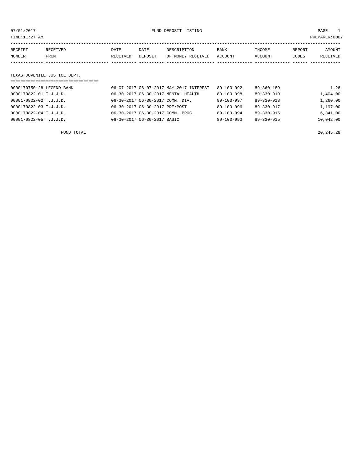07/01/2017 FUND DEPOSIT LISTING PAGE 1

| RECEIPT | RECEIVED | DATE            | DATE    | DESCRIPTION       | <b>BANK</b> | INCOME  | REPORT | AMOUNT          |
|---------|----------|-----------------|---------|-------------------|-------------|---------|--------|-----------------|
| NUMBER  | FROM     | <b>RECEIVED</b> | DEPOSIT | OF MONEY RECEIVED | ACCOUNT     | ACCOUNT | CODES  | <b>RECEIVED</b> |
|         |          |                 |         |                   |             |         |        |                 |

### TEXAS JUVENILE JUSTICE DEPT.

| =================================== |                                               |                  |                  |           |
|-------------------------------------|-----------------------------------------------|------------------|------------------|-----------|
| 0000170750-28 LEGEND BANK           | 06-07-2017 06-07-2017 MAY 2017 INTEREST       | $89 - 103 - 992$ | $89 - 360 - 189$ | 1.28      |
| 0000170822-01 T.J.J.D.              | 06-30-2017 06-30-2017 MENTAL HEALTH           | $89 - 103 - 998$ | $89 - 330 - 919$ | 1,404.00  |
| 0000170822-02 T.J.J.D.              | 06-30-2017 06-30-2017 COMM. DIV.              | $89 - 103 - 997$ | $89 - 330 - 918$ | 1,260.00  |
| 0000170822-03 T.J.J.D.              | 06-30-2017 06-30-2017 PRE/POST                | $89 - 103 - 996$ | $89 - 330 - 917$ | 1,197.00  |
| 0000170822-04 T.J.J.D.              | $06 - 30 - 2017$ $06 - 30 - 2017$ COMM. PROG. | $89 - 103 - 994$ | $89 - 330 - 916$ | 6.341.00  |
| 0000170822-05 T.J.J.D.              | 06-30-2017 06-30-2017 BASIC                   | $89 - 103 - 993$ | 89-330-915       | 10,042.00 |
|                                     |                                               |                  |                  |           |

FUND TOTAL 20,245.28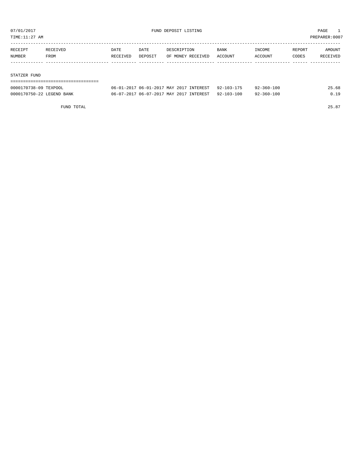TIME:11:27 AM PREPARER:0007

| RECEIPT | RECEIVED | DATE     | DATE    | DESCRIPTION       | <b>BANK</b> | INCOME  | REPORT | AMOUNT   |
|---------|----------|----------|---------|-------------------|-------------|---------|--------|----------|
| NUMBER  | FROM     | RECEIVED | DEPOSIT | OF MONEY RECEIVED | ACCOUNT     | ACCOUNT | CODES  | RECEIVED |
|         |          |          |         |                   |             |         |        |          |
|         |          |          |         |                   |             |         |        |          |

#### STATZER FUND

| 0000170738-09 TEXPOOL     | 06-01-2017 06-01-2017 MAY 2017 INTEREST 92-103-175 | $92 - 360 - 100$ | 25.68 |
|---------------------------|----------------------------------------------------|------------------|-------|
| 0000170750-22 LEGEND BANK | 06-07-2017 06-07-2017 MAY 2017 INTEREST 92-103-100 | $92 - 360 - 100$ | 0.19  |

FUND TOTAL 25.87